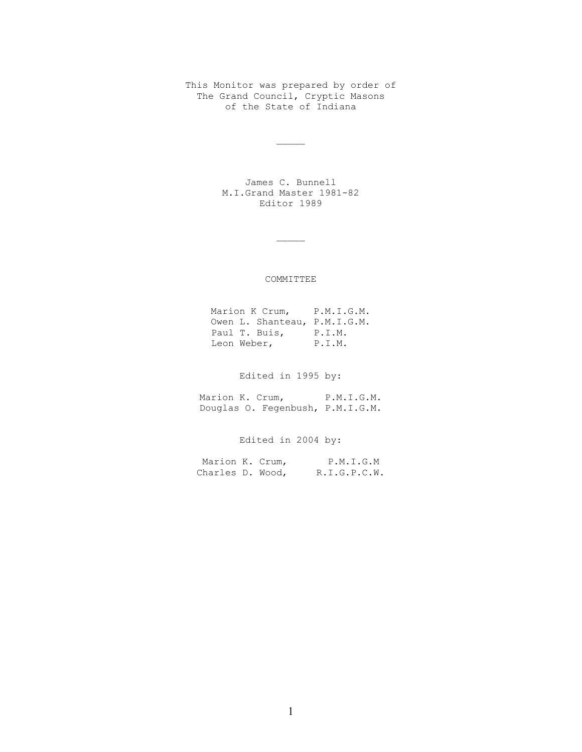This Monitor was prepared by order of The Grand Council, Cryptic Masons of the State of Indiana

 $\overline{\phantom{a}}$ 

James C. Bunnell M.I.Grand Master 1981-82 Editor 1989

 $\mathcal{L}_\mathcal{L}$ 

# COMMITTEE

Marion K Crum, P.M.I.G.M. Owen L. Shanteau, P.M.I.G.M. Paul T. Buis, P.I.M. Leon Weber, P.I.M.

Edited in 1995 by:

Marion K. Crum, P.M.I.G.M. Douglas O. Fegenbush, P.M.I.G.M.

Edited in 2004 by:

| Marion K. Crum,  |  | P.M.I.G.M    |
|------------------|--|--------------|
| Charles D. Wood, |  | R.I.G.P.C.W. |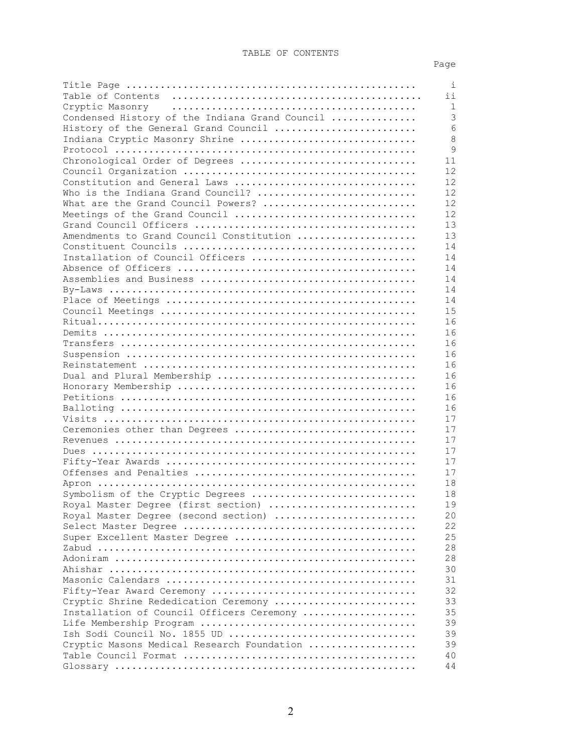# TABLE OF CONTENTS

# Page

|                                                                         | $\pm$    |
|-------------------------------------------------------------------------|----------|
|                                                                         | ii       |
|                                                                         | 1        |
| Condensed History of the Indiana Grand Council                          | 3        |
| History of the General Grand Council                                    | 6        |
| Indiana Cryptic Masonry Shrine                                          | 8        |
|                                                                         | 9        |
| Chronological Order of Degrees                                          | 11       |
|                                                                         | 12       |
| Constitution and General Laws                                           | 12       |
| Who is the Indiana Grand Council?                                       | 12       |
| What are the Grand Council Powers?                                      | 12       |
| Meetings of the Grand Council                                           | 12       |
|                                                                         | 13       |
| Amendments to Grand Council Constitution                                | 13       |
|                                                                         | 14       |
| Installation of Council Officers                                        | 14       |
|                                                                         | 14       |
|                                                                         | 14       |
|                                                                         | 14       |
|                                                                         | 14       |
|                                                                         | 15       |
|                                                                         | 16       |
|                                                                         | 16       |
|                                                                         | 16       |
|                                                                         | 16       |
|                                                                         | 16       |
|                                                                         | 16       |
|                                                                         | 16       |
|                                                                         | 16       |
|                                                                         | 16       |
|                                                                         | 17       |
| Ceremonies other than Degrees                                           | 17       |
|                                                                         | 17       |
|                                                                         | 17       |
|                                                                         | 17       |
|                                                                         | 17       |
|                                                                         | 18       |
|                                                                         | 18       |
| Symbolism of the Cryptic Degrees<br>Royal Master Degree (first section) |          |
|                                                                         | 19       |
| Royal Master Degree (second section)                                    | 20<br>22 |
|                                                                         | 25       |
| Super Excellent Master Degree                                           |          |
|                                                                         | 28       |
|                                                                         | 28       |
|                                                                         | 30       |
|                                                                         | 31       |
|                                                                         | 32       |
| Cryptic Shrine Rededication Ceremony                                    | 33       |
| Installation of Council Officers Ceremony                               | 35       |
|                                                                         | 39       |
|                                                                         | 39       |
| Cryptic Masons Medical Research Foundation                              | 39       |
|                                                                         | 40       |
|                                                                         | 44       |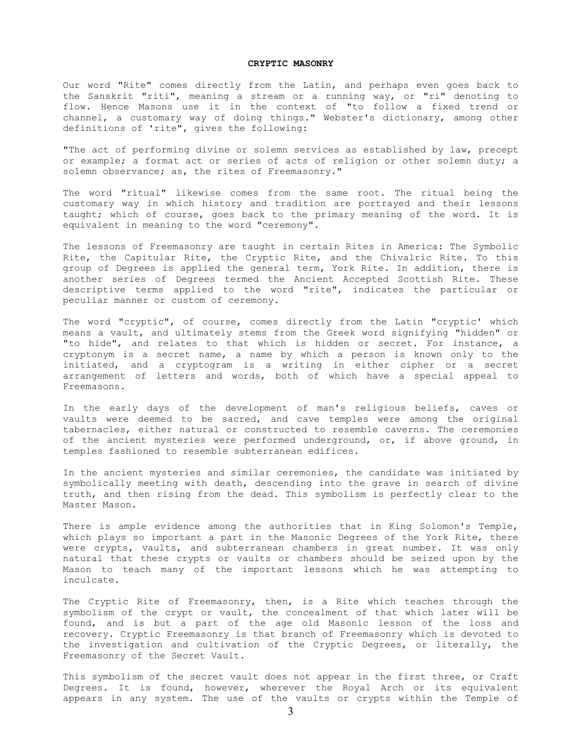# **CRYPTIC MASONRY**

Our word "Rite" comes directly from the Latin, and perhaps even goes back to the Sanskrit "riti", meaning a stream or a running way, or "ri" denoting to flow. Hence Masons use it in the context of "to follow a fixed trend or channel, a customary way of doing things." Webster's dictionary, among other definitions of 'rite", gives the following:

"The act of performing divine or solemn services as established by law, precept or example; a format act or series of acts of religion or other solemn duty; a solemn observance; as, the rites of Freemasonry."

The word "ritual" likewise comes from the same root. The ritual being the customary way in which history and tradition are portrayed and their lessons taught; which of course, goes back to the primary meaning of the word. It is equivalent in meaning to the word "ceremony".

The lessons of Freemasonry are taught in certain Rites in America: The Symbolic Rite, the Capitular Rite, the Cryptic Rite, and the Chivalric Rite. To this group of Degrees is applied the general term, York Rite. In addition, there is another series of Degrees termed the Ancient Accepted Scottish Rite. These descriptive terms applied to the word "rite", indicates the particular or peculiar manner or custom of ceremony.

The word "cryptic", of course, comes directly from the Latin "cryptic' which means a vault, and ultimately stems from the Greek word signifying "hidden" or "to hide", and relates to that which is hidden or secret. For instance, a cryptonym is a secret name, a name by which a person is known only to the initiated, and a cryptogram is a writing in either cipher or a secret arrangement of letters and words, both of which have a special appeal to Freemasons.

In the early days of the development of man's religious beliefs, caves or vaults were deemed to be sacred, and cave temples were among the original tabernacles, either natural or constructed to resemble caverns. The ceremonies of the ancient mysteries were performed underground, or, if above ground, in temples fashioned to resemble subterranean edifices.

In the ancient mysteries and similar ceremonies, the candidate was initiated by symbolically meeting with death, descending into the grave in search of divine truth, and then rising from the dead. This symbolism is perfectly clear to the Master Mason.

There is ample evidence among the authorities that in King Solomon's Temple, which plays so important a part in the Masonic Degrees of the York Rite, there were crypts, vaults, and subterranean chambers in great number. It was only natural that these crypts or vaults or chambers should be seized upon by the Mason to teach many of the important lessons which he was attempting to inculcate.

The Cryptic Rite of Freemasonry, then, is a Rite which teaches through the symbolism of the crypt or vault, the concealment of that which later will be found, and is but a part of the age old Masonic lesson of the loss and recovery. Cryptic Freemasonry is that branch of Freemasonry which is devoted to the investigation and cultivation of the Cryptic Degrees, or literally, the Freemasonry of the Secret Vault.

This symbolism of the secret vault does not appear in the first three, or Craft Degrees. It is found, however, wherever the Royal Arch or its equivalent appears in any system. The use of the vaults or crypts within the Temple of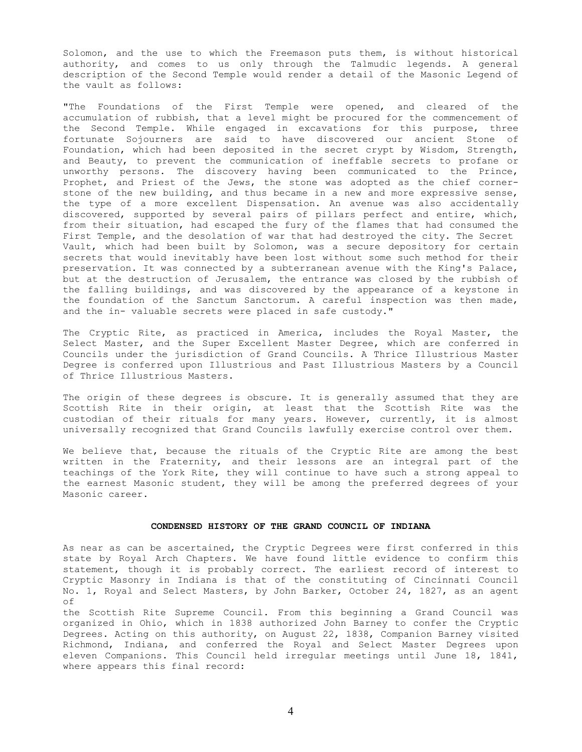Solomon, and the use to which the Freemason puts them, is without historical authority, and comes to us only through the Talmudic legends. A general description of the Second Temple would render a detail of the Masonic Legend of the vault as follows:

"The Foundations of the First Temple were opened, and cleared of the accumulation of rubbish, that a level might be procured for the commencement of the Second Temple. While engaged in excavations for this purpose, three fortunate Sojourners are said to have discovered our ancient Stone of Foundation, which had been deposited in the secret crypt by Wisdom, Strength, and Beauty, to prevent the communication of ineffable secrets to profane or unworthy persons. The discovery having been communicated to the Prince, Prophet, and Priest of the Jews, the stone was adopted as the chief cornerstone of the new building, and thus became in a new and more expressive sense, the type of a more excellent Dispensation. An avenue was also accidentally discovered, supported by several pairs of pillars perfect and entire, which, from their situation, had escaped the fury of the flames that had consumed the First Temple, and the desolation of war that had destroyed the city. The Secret Vault, which had been built by Solomon, was a secure depository for certain secrets that would inevitably have been lost without some such method for their preservation. It was connected by a subterranean avenue with the King's Palace, but at the destruction of Jerusalem, the entrance was closed by the rubbish of the falling buildings, and was discovered by the appearance of a keystone in the foundation of the Sanctum Sanctorum. A careful inspection was then made, and the in- valuable secrets were placed in safe custody."

The Cryptic Rite, as practiced in America, includes the Royal Master, the Select Master, and the Super Excellent Master Degree, which are conferred in Councils under the jurisdiction of Grand Councils. A Thrice Illustrious Master Degree is conferred upon Illustrious and Past Illustrious Masters by a Council of Thrice Illustrious Masters.

The origin of these degrees is obscure. It is generally assumed that they are Scottish Rite in their origin, at least that the Scottish Rite was the custodian of their rituals for many years. However, currently, it is almost universally recognized that Grand Councils lawfully exercise control over them.

We believe that, because the rituals of the Cryptic Rite are among the best written in the Fraternity, and their lessons are an integral part of the teachings of the York Rite, they will continue to have such a strong appeal to the earnest Masonic student, they will be among the preferred degrees of your Masonic career.

# **CONDENSED HISTORY OF THE GRAND COUNCIL OF INDIANA**

As near as can be ascertained, the Cryptic Degrees were first conferred in this state by Royal Arch Chapters. We have found little evidence to confirm this statement, though it is probably correct. The earliest record of interest to Cryptic Masonry in Indiana is that of the constituting of Cincinnati Council No. 1, Royal and Select Masters, by John Barker, October 24, 1827, as an agent of

the Scottish Rite Supreme Council. From this beginning a Grand Council was organized in Ohio, which in 1838 authorized John Barney to confer the Cryptic Degrees. Acting on this authority, on August 22, 1838, Companion Barney visited Richmond, Indiana, and conferred the Royal and Select Master Degrees upon eleven Companions. This Council held irregular meetings until June 18, 1841, where appears this final record: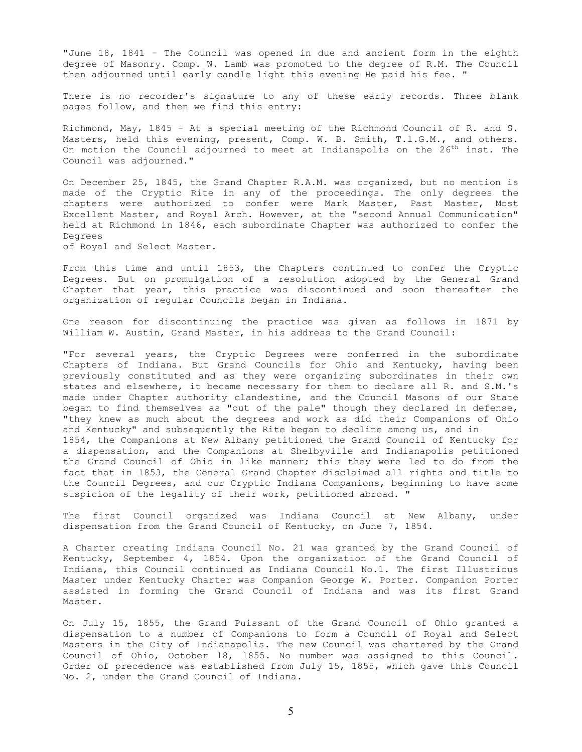"June 18, 1841 - The Council was opened in due and ancient form in the eighth degree of Masonry. Comp. W. Lamb was promoted to the degree of R.M. The Council then adjourned until early candle light this evening He paid his fee. "

There is no recorder's signature to any of these early records. Three blank pages follow, and then we find this entry:

Richmond, May, 1845 - At a special meeting of the Richmond Council of R. and S. Masters, held this evening, present, Comp. W. B. Smith, T.l.G.M., and others. On motion the Council adjourned to meet at Indianapolis on the  $26<sup>th</sup>$  inst. The Council was adjourned."

On December 25, 1845, the Grand Chapter R.A.M. was organized, but no mention is made of the Cryptic Rite in any of the proceedings. The only degrees the chapters were authorized to confer were Mark Master, Past Master, Most Excellent Master, and Royal Arch. However, at the "second Annual Communication" held at Richmond in 1846, each subordinate Chapter was authorized to confer the Degrees

of Royal and Select Master.

From this time and until 1853, the Chapters continued to confer the Cryptic Degrees. But on promulgation of a resolution adopted by the General Grand Chapter that year, this practice was discontinued and soon thereafter the organization of regular Councils began in Indiana.

One reason for discontinuing the practice was given as follows in 1871 by William W. Austin, Grand Master, in his address to the Grand Council:

"For several years, the Cryptic Degrees were conferred in the subordinate Chapters of Indiana. But Grand Councils for Ohio and Kentucky, having been previously constituted and as they were organizing subordinates in their own states and elsewhere, it became necessary for them to declare all R. and S.M.'s made under Chapter authority clandestine, and the Council Masons of our State began to find themselves as "out of the pale" though they declared in defense, "they knew as much about the degrees and work as did their Companions of Ohio and Kentucky" and subsequently the Rite began to decline among us, and in 1854, the Companions at New Albany petitioned the Grand Council of Kentucky for a dispensation, and the Companions at Shelbyville and Indianapolis petitioned the Grand Council of Ohio in like manner; this they were led to do from the fact that in 1853, the General Grand Chapter disclaimed all rights and title to the Council Degrees, and our Cryptic Indiana Companions, beginning to have some suspicion of the legality of their work, petitioned abroad. "

The first Council organized was Indiana Council at New Albany, under dispensation from the Grand Council of Kentucky, on June 7, 1854.

A Charter creating Indiana Council No. 21 was granted by the Grand Council of Kentucky, September 4, 1854. Upon the organization of the Grand Council of Indiana, this Council continued as Indiana Council No.1. The first Illustrious Master under Kentucky Charter was Companion George W. Porter. Companion Porter assisted in forming the Grand Council of Indiana and was its first Grand Master.

On July 15, 1855, the Grand Puissant of the Grand Council of Ohio granted a dispensation to a number of Companions to form a Council of Royal and Select Masters in the City of Indianapolis. The new Council was chartered by the Grand Council of Ohio, October 18, 1855. No number was assigned to this Council. Order of precedence was established from July 15, 1855, which gave this Council No. 2, under the Grand Council of Indiana.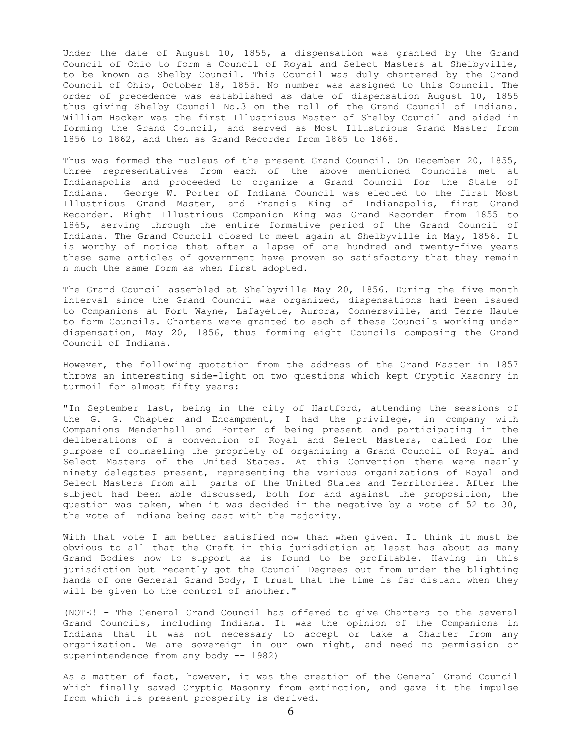Under the date of August 10, 1855, a dispensation was granted by the Grand Council of Ohio to form a Council of Royal and Select Masters at Shelbyville, to be known as Shelby Council. This Council was duly chartered by the Grand Council of Ohio, October 18, 1855. No number was assigned to this Council. The order of precedence was established as date of dispensation August 10, 1855 thus giving Shelby Council No.3 on the roll of the Grand Council of Indiana. William Hacker was the first Illustrious Master of Shelby Council and aided in forming the Grand Council, and served as Most Illustrious Grand Master from 1856 to 1862, and then as Grand Recorder from 1865 to 1868.

Thus was formed the nucleus of the present Grand Council. On December 20, 1855, three representatives from each of the above mentioned Councils met at Indianapolis and proceeded to organize a Grand Council for the State of Indiana. George W. Porter of Indiana Council was elected to the first Most Illustrious Grand Master, and Francis King of Indianapolis, first Grand Recorder. Right Illustrious Companion King was Grand Recorder from 1855 to 1865, serving through the entire formative period of the Grand Council of Indiana. The Grand Council closed to meet again at Shelbyville in May, 1856. It is worthy of notice that after a lapse of one hundred and twenty-five years these same articles of government have proven so satisfactory that they remain n much the same form as when first adopted.

The Grand Council assembled at Shelbyville May 20, 1856. During the five month interval since the Grand Council was organized, dispensations had been issued to Companions at Fort Wayne, Lafayette, Aurora, Connersville, and Terre Haute to form Councils. Charters were granted to each of these Councils working under dispensation, May 20, 1856, thus forming eight Councils composing the Grand Council of Indiana.

However, the following quotation from the address of the Grand Master in 1857 throws an interesting side-light on two questions which kept Cryptic Masonry in turmoil for almost fifty years:

"In September last, being in the city of Hartford, attending the sessions of the G. G. Chapter and Encampment, I had the privilege, in company with Companions Mendenhall and Porter of being present and participating in the deliberations of a convention of Royal and Select Masters, called for the purpose of counseling the propriety of organizing a Grand Council of Royal and Select Masters of the United States. At this Convention there were nearly ninety delegates present, representing the various organizations of Royal and Select Masters from all parts of the United States and Territories. After the subject had been able discussed, both for and against the proposition, the question was taken, when it was decided in the negative by a vote of 52 to 30, the vote of Indiana being cast with the majority.

With that vote I am better satisfied now than when given. It think it must be obvious to all that the Craft in this jurisdiction at least has about as many Grand Bodies now to support as is found to be profitable. Having in this jurisdiction but recently got the Council Degrees out from under the blighting hands of one General Grand Body, I trust that the time is far distant when they will be given to the control of another."

(NOTE! - The General Grand Council has offered to give Charters to the several Grand Councils, including Indiana. It was the opinion of the Companions in Indiana that it was not necessary to accept or take a Charter from any organization. We are sovereign in our own right, and need no permission or superintendence from any body -- 1982)

As a matter of fact, however, it was the creation of the General Grand Council which finally saved Cryptic Masonry from extinction, and gave it the impulse from which its present prosperity is derived.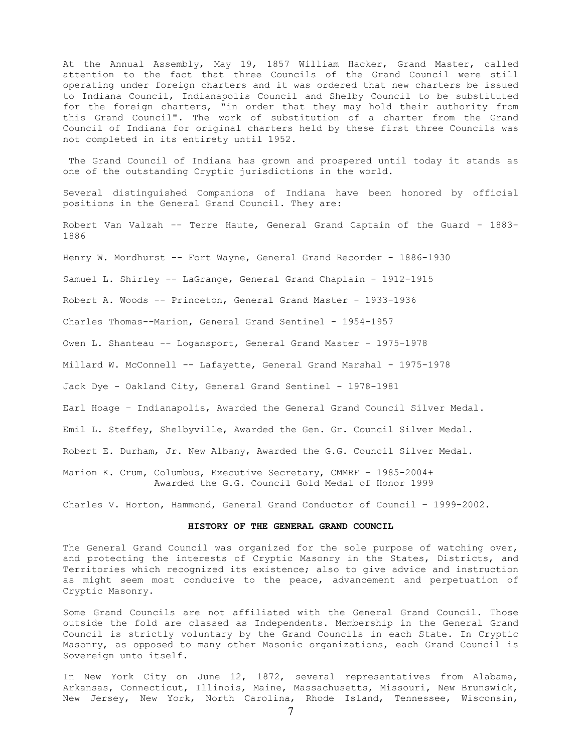At the Annual Assembly, May 19, 1857 William Hacker, Grand Master, called attention to the fact that three Councils of the Grand Council were still operating under foreign charters and it was ordered that new charters be issued to Indiana Council, Indianapolis Council and Shelby Council to be substituted for the foreign charters, "in order that they may hold their authority from this Grand Council". The work of substitution of a charter from the Grand Council of Indiana for original charters held by these first three Councils was not completed in its entirety until 1952.

 The Grand Council of Indiana has grown and prospered until today it stands as one of the outstanding Cryptic jurisdictions in the world.

Several distinguished Companions of Indiana have been honored by official positions in the General Grand Council. They are:

Robert Van Valzah -- Terre Haute, General Grand Captain of the Guard - 1883- 1886

Henry W. Mordhurst -- Fort Wayne, General Grand Recorder - 1886-1930

Samuel L. Shirley -- LaGrange, General Grand Chaplain - 1912-1915

Robert A. Woods -- Princeton, General Grand Master - 1933-1936

Charles Thomas--Marion, General Grand Sentinel - 1954-1957

Owen L. Shanteau -- Logansport, General Grand Master - 1975-1978

Millard W. McConnell -- Lafayette, General Grand Marshal - 1975-1978

Jack Dye - Oakland City, General Grand Sentinel - 1978-1981

Earl Hoage – Indianapolis, Awarded the General Grand Council Silver Medal.

Emil L. Steffey, Shelbyville, Awarded the Gen. Gr. Council Silver Medal.

Robert E. Durham, Jr. New Albany, Awarded the G.G. Council Silver Medal.

Marion K. Crum, Columbus, Executive Secretary, CMMRF – 1985-2004+ Awarded the G.G. Council Gold Medal of Honor 1999

Charles V. Horton, Hammond, General Grand Conductor of Council – 1999-2002.

#### **HISTORY OF THE GENERAL GRAND COUNCIL**

The General Grand Council was organized for the sole purpose of watching over, and protecting the interests of Cryptic Masonry in the States, Districts, and Territories which recognized its existence; also to give advice and instruction as might seem most conducive to the peace, advancement and perpetuation of Cryptic Masonry.

Some Grand Councils are not affiliated with the General Grand Council. Those outside the fold are classed as Independents. Membership in the General Grand Council is strictly voluntary by the Grand Councils in each State. In Cryptic Masonry, as opposed to many other Masonic organizations, each Grand Council is Sovereign unto itself.

In New York City on June 12, 1872, several representatives from Alabama, Arkansas, Connecticut, Illinois, Maine, Massachusetts, Missouri, New Brunswick, New Jersey, New York, North Carolina, Rhode Island, Tennessee, Wisconsin,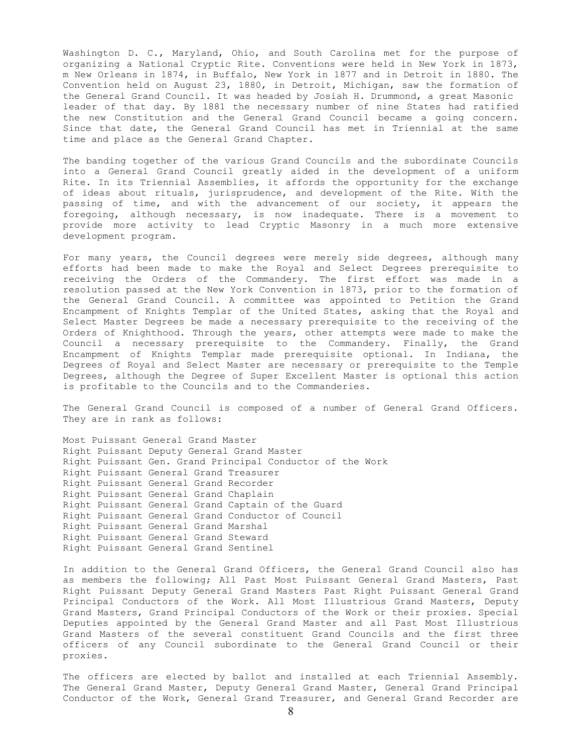Washington D. C., Maryland, Ohio, and South Carolina met for the purpose of organizing a National Cryptic Rite. Conventions were held in New York in 1873, m New Orleans in 1874, in Buffalo, New York in 1877 and in Detroit in 1880. The Convention held on August 23, 1880, in Detroit, Michigan, saw the formation of the General Grand Council. It was headed by Josiah H. Drummond, a great Masonic leader of that day. By 1881 the necessary number of nine States had ratified the new Constitution and the General Grand Council became a going concern. Since that date, the General Grand Council has met in Triennial at the same time and place as the General Grand Chapter.

The banding together of the various Grand Councils and the subordinate Councils into a General Grand Council greatly aided in the development of a uniform Rite. In its Triennial Assemblies, it affords the opportunity for the exchange of ideas about rituals, jurisprudence, and development of the Rite. With the passing of time, and with the advancement of our society, it appears the foregoing, although necessary, is now inadequate. There is a movement to provide more activity to lead Cryptic Masonry in a much more extensive development program.

For many years, the Council degrees were merely side degrees, although many efforts had been made to make the Royal and Select Degrees prerequisite to receiving the Orders of the Commandery. The first effort was made in a resolution passed at the New York Convention in 1873, prior to the formation of the General Grand Council. A committee was appointed to Petition the Grand Encampment of Knights Templar of the United States, asking that the Royal and Select Master Degrees be made a necessary prerequisite to the receiving of the Orders of Knighthood. Through the years, other attempts were made to make the Council a necessary prerequisite to the Commandery. Finally, the Grand Encampment of Knights Templar made prerequisite optional. In Indiana, the Degrees of Royal and Select Master are necessary or prerequisite to the Temple Degrees, although the Degree of Super Excellent Master is optional this action is profitable to the Councils and to the Commanderies.

The General Grand Council is composed of a number of General Grand Officers. They are in rank as follows:

Most Puissant General Grand Master Right Puissant Deputy General Grand Master Right Puissant Gen. Grand Principal Conductor of the Work Right Puissant General Grand Treasurer Right Puissant General Grand Recorder Right Puissant General Grand Chaplain Right Puissant General Grand Captain of the Guard Right Puissant General Grand Conductor of Council Right Puissant General Grand Marshal Right Puissant General Grand Steward Right Puissant General Grand Sentinel

In addition to the General Grand Officers, the General Grand Council also has as members the following; All Past Most Puissant General Grand Masters, Past Right Puissant Deputy General Grand Masters Past Right Puissant General Grand Principal Conductors of the Work. All Most Illustrious Grand Masters, Deputy Grand Masters, Grand Principal Conductors of the Work or their proxies. Special Deputies appointed by the General Grand Master and all Past Most Illustrious Grand Masters of the several constituent Grand Councils and the first three officers of any Council subordinate to the General Grand Council or their proxies.

The officers are elected by ballot and installed at each Triennial Assembly. The General Grand Master, Deputy General Grand Master, General Grand Principal Conductor of the Work, General Grand Treasurer, and General Grand Recorder are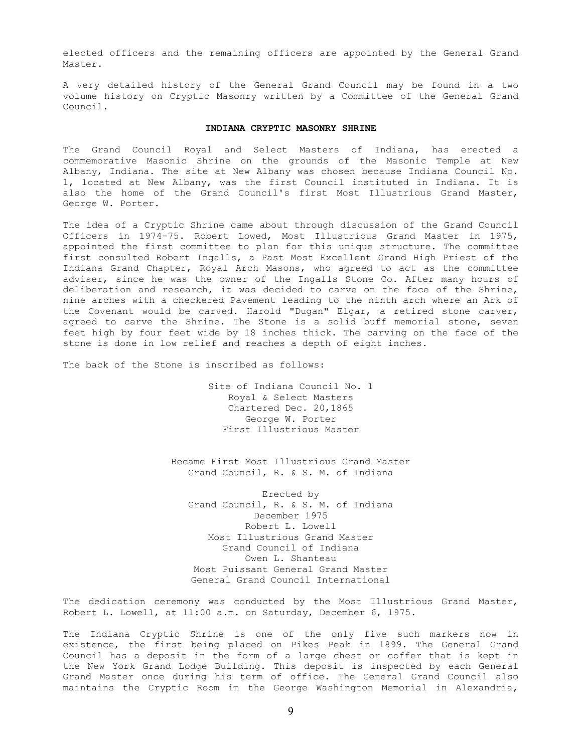elected officers and the remaining officers are appointed by the General Grand Master.

A very detailed history of the General Grand Council may be found in a two volume history on Cryptic Masonry written by a Committee of the General Grand Council.

# **INDIANA CRYPTIC MASONRY SHRINE**

The Grand Council Royal and Select Masters of Indiana, has erected a commemorative Masonic Shrine on the grounds of the Masonic Temple at New Albany, Indiana. The site at New Albany was chosen because Indiana Council No. 1, located at New Albany, was the first Council instituted in Indiana. It is also the home of the Grand Council's first Most Illustrious Grand Master, George W. Porter.

The idea of a Cryptic Shrine came about through discussion of the Grand Council Officers in 1974-75. Robert Lowed, Most Illustrious Grand Master in 1975, appointed the first committee to plan for this unique structure. The committee first consulted Robert Ingalls, a Past Most Excellent Grand High Priest of the Indiana Grand Chapter, Royal Arch Masons, who agreed to act as the committee adviser, since he was the owner of the Ingalls Stone Co. After many hours of deliberation and research, it was decided to carve on the face of the Shrine, nine arches with a checkered Pavement leading to the ninth arch where an Ark of the Covenant would be carved. Harold "Dugan" Elgar, a retired stone carver, agreed to carve the Shrine. The Stone is a solid buff memorial stone, seven feet high by four feet wide by 18 inches thick. The carving on the face of the stone is done in low relief and reaches a depth of eight inches.

The back of the Stone is inscribed as follows:

Site of Indiana Council No. 1 Royal & Select Masters Chartered Dec. 20,1865 George W. Porter First Illustrious Master

Became First Most Illustrious Grand Master Grand Council, R. & S. M. of Indiana

Erected by Grand Council, R. & S. M. of Indiana December 1975 Robert L. Lowell Most Illustrious Grand Master Grand Council of Indiana Owen L. Shanteau Most Puissant General Grand Master General Grand Council International

The dedication ceremony was conducted by the Most Illustrious Grand Master, Robert L. Lowell, at 11:00 a.m. on Saturday, December 6, 1975.

The Indiana Cryptic Shrine is one of the only five such markers now in existence, the first being placed on Pikes Peak in 1899. The General Grand Council has a deposit in the form of a large chest or coffer that is kept in the New York Grand Lodge Building. This deposit is inspected by each General Grand Master once during his term of office. The General Grand Council also maintains the Cryptic Room in the George Washington Memorial in Alexandria,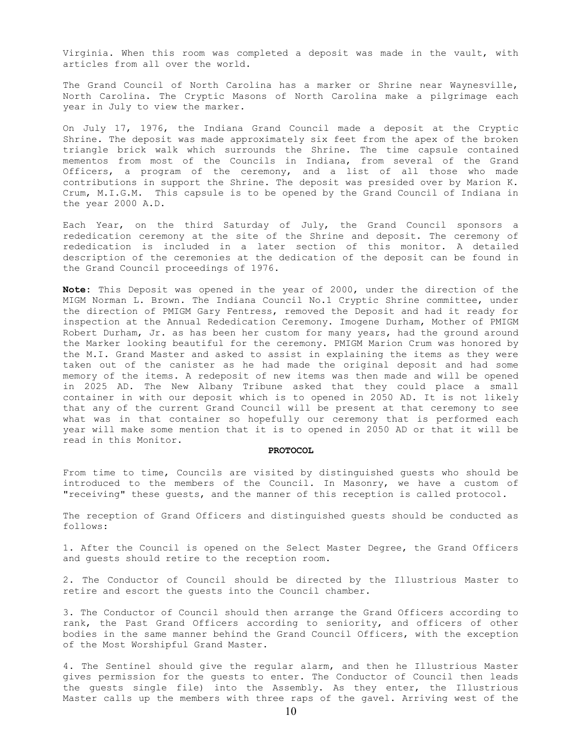Virginia. When this room was completed a deposit was made in the vault, with articles from all over the world.

The Grand Council of North Carolina has a marker or Shrine near Waynesville, North Carolina. The Cryptic Masons of North Carolina make a pilgrimage each year in July to view the marker.

On July 17, 1976, the Indiana Grand Council made a deposit at the Cryptic Shrine. The deposit was made approximately six feet from the apex of the broken triangle brick walk which surrounds the Shrine. The time capsule contained mementos from most of the Councils in Indiana, from several of the Grand Officers, a program of the ceremony, and a list of all those who made contributions in support the Shrine. The deposit was presided over by Marion K. Crum, M.I.G.M. This capsule is to be opened by the Grand Council of Indiana in the year 2000 A.D.

Each Year, on the third Saturday of July, the Grand Council sponsors a rededication ceremony at the site of the Shrine and deposit. The ceremony of rededication is included in a later section of this monitor. A detailed description of the ceremonies at the dedication of the deposit can be found in the Grand Council proceedings of 1976.

**Note:** This Deposit was opened in the year of 2000, under the direction of the MIGM Norman L. Brown. The Indiana Council No.1 Cryptic Shrine committee, under the direction of PMIGM Gary Fentress, removed the Deposit and had it ready for inspection at the Annual Rededication Ceremony. Imogene Durham, Mother of PMIGM Robert Durham, Jr. as has been her custom for many years, had the ground around the Marker looking beautiful for the ceremony. PMIGM Marion Crum was honored by the M.I. Grand Master and asked to assist in explaining the items as they were taken out of the canister as he had made the original deposit and had some memory of the items. A redeposit of new items was then made and will be opened in 2025 AD. The New Albany Tribune asked that they could place a small container in with our deposit which is to opened in 2050 AD. It is not likely that any of the current Grand Council will be present at that ceremony to see what was in that container so hopefully our ceremony that is performed each year will make some mention that it is to opened in 2050 AD or that it will be read in this Monitor.

#### **PROTOCOL**

From time to time, Councils are visited by distinguished guests who should be introduced to the members of the Council. In Masonry, we have a custom of "receiving" these guests, and the manner of this reception is called protocol.

The reception of Grand Officers and distinguished guests should be conducted as follows:

1. After the Council is opened on the Select Master Degree, the Grand Officers and guests should retire to the reception room.

2. The Conductor of Council should be directed by the Illustrious Master to retire and escort the guests into the Council chamber.

3. The Conductor of Council should then arrange the Grand Officers according to rank, the Past Grand Officers according to seniority, and officers of other bodies in the same manner behind the Grand Council Officers, with the exception of the Most Worshipful Grand Master.

4. The Sentinel should give the regular alarm, and then he Illustrious Master gives permission for the guests to enter. The Conductor of Council then leads the guests single file) into the Assembly. As they enter, the Illustrious Master calls up the members with three raps of the gavel. Arriving west of the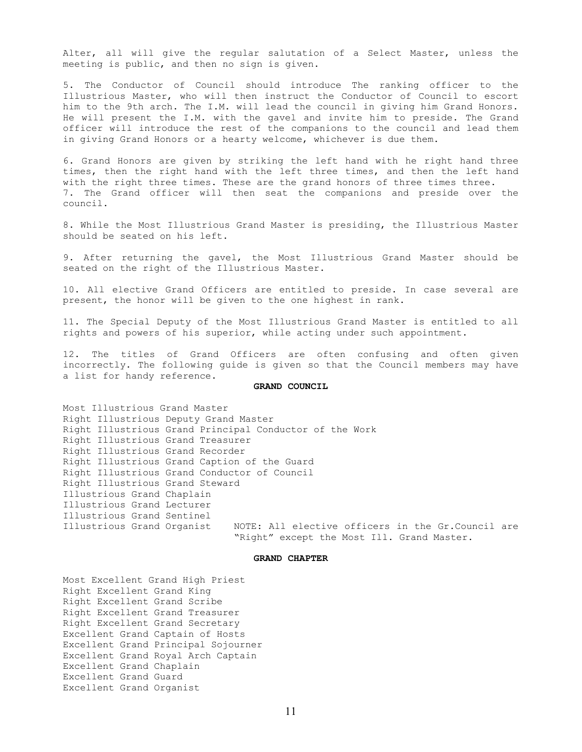Alter, all will give the regular salutation of a Select Master, unless the meeting is public, and then no sign is given.

5. The Conductor of Council should introduce The ranking officer to the Illustrious Master, who will then instruct the Conductor of Council to escort him to the 9th arch. The I.M. will lead the council in giving him Grand Honors. He will present the I.M. with the gavel and invite him to preside. The Grand officer will introduce the rest of the companions to the council and lead them in giving Grand Honors or a hearty welcome, whichever is due them.

6. Grand Honors are given by striking the left hand with he right hand three times, then the right hand with the left three times, and then the left hand with the right three times. These are the grand honors of three times three. 7. The Grand officer will then seat the companions and preside over the council.

8. While the Most Illustrious Grand Master is presiding, the Illustrious Master should be seated on his left.

9. After returning the gavel, the Most Illustrious Grand Master should be seated on the right of the Illustrious Master.

10. All elective Grand Officers are entitled to preside. In case several are present, the honor will be given to the one highest in rank.

11. The Special Deputy of the Most Illustrious Grand Master is entitled to all rights and powers of his superior, while acting under such appointment.

12. The titles of Grand Officers are often confusing and often given incorrectly. The following guide is given so that the Council members may have a list for handy reference.

#### **GRAND COUNCIL**

Most Illustrious Grand Master Right Illustrious Deputy Grand Master Right Illustrious Grand Principal Conductor of the Work Right Illustrious Grand Treasurer Right Illustrious Grand Recorder Right Illustrious Grand Caption of the Guard Right Illustrious Grand Conductor of Council Right Illustrious Grand Steward Illustrious Grand Chaplain Illustrious Grand Lecturer Illustrious Grand Sentinel Illustrious Grand Organist NOTE: All elective officers in the Gr.Council are "Right" except the Most Ill. Grand Master.

#### **GRAND CHAPTER**

Most Excellent Grand High Priest Right Excellent Grand King Right Excellent Grand Scribe Right Excellent Grand Treasurer Right Excellent Grand Secretary Excellent Grand Captain of Hosts Excellent Grand Principal Sojourner Excellent Grand Royal Arch Captain Excellent Grand Chaplain Excellent Grand Guard Excellent Grand Organist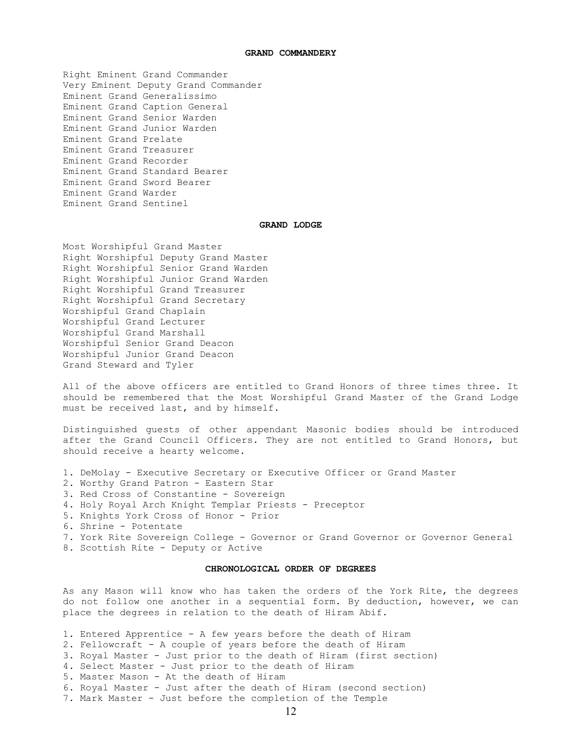## **GRAND COMMANDERY**

Right Eminent Grand Commander Very Eminent Deputy Grand Commander Eminent Grand Generalissimo Eminent Grand Caption General Eminent Grand Senior Warden Eminent Grand Junior Warden Eminent Grand Prelate Eminent Grand Treasurer Eminent Grand Recorder Eminent Grand Standard Bearer Eminent Grand Sword Bearer Eminent Grand Warder Eminent Grand Sentinel

# **GRAND LODGE**

Most Worshipful Grand Master Right Worshipful Deputy Grand Master Right Worshipful Senior Grand Warden Right Worshipful Junior Grand Warden Right Worshipful Grand Treasurer Right Worshipful Grand Secretary Worshipful Grand Chaplain Worshipful Grand Lecturer Worshipful Grand Marshall Worshipful Senior Grand Deacon Worshipful Junior Grand Deacon Grand Steward and Tyler

All of the above officers are entitled to Grand Honors of three times three. It should be remembered that the Most Worshipful Grand Master of the Grand Lodge must be received last, and by himself.

Distinguished guests of other appendant Masonic bodies should be introduced after the Grand Council Officers. They are not entitled to Grand Honors, but should receive a hearty welcome.

- 1. DeMolay Executive Secretary or Executive Officer or Grand Master
- 2. Worthy Grand Patron Eastern Star
- 3. Red Cross of Constantine Sovereign
- 4. Holy Royal Arch Knight Templar Priests Preceptor
- 5. Knights York Cross of Honor Prior
- 6. Shrine Potentate
- 7. York Rite Sovereign College Governor or Grand Governor or Governor General
- 8. Scottish Rite Deputy or Active

## **CHRONOLOGICAL ORDER OF DEGREES**

As any Mason will know who has taken the orders of the York Rite, the degrees do not follow one another in a sequential form. By deduction, however, we can place the degrees in relation to the death of Hiram Abif.

- 1. Entered Apprentice A few years before the death of Hiram
- 2. Fellowcraft A couple of years before the death of Hiram
- 3. Royal Master Just prior to the death of Hiram (first section)
- 4. Select Master Just prior to the death of Hiram
- 5. Master Mason At the death of Hiram
- 6. Royal Master Just after the death of Hiram (second section)
- 7. Mark Master Just before the completion of the Temple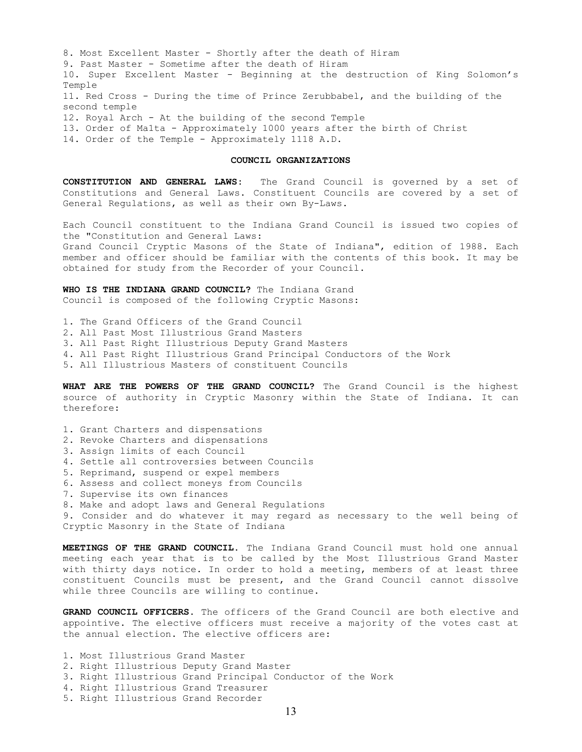8. Most Excellent Master - Shortly after the death of Hiram 9. Past Master - Sometime after the death of Hiram 10. Super Excellent Master - Beginning at the destruction of King Solomon's Temple 11. Red Cross - During the time of Prince Zerubbabel, and the building of the second temple 12. Royal Arch - At the building of the second Temple 13. Order of Ma1ta - Approximately 1000 years after the birth of Christ 14. Order of the Temple - Approximately 1118 A.D.

# **COUNCIL ORGANIZATIONS**

**CONSTITUTION AND GENERAL LAWS:** The Grand Council is governed by a set of Constitutions and General Laws. Constituent Councils are covered by a set of General Regulations, as well as their own By-Laws.

Each Council constituent to the Indiana Grand Council is issued two copies of the "Constitution and General Laws: Grand Council Cryptic Masons of the State of Indiana", edition of 1988. Each member and officer should be familiar with the contents of this book. It may be obtained for study from the Recorder of your Council.

**WHO IS THE INDIANA GRAND COUNCIL?** The Indiana Grand Council is composed of the following Cryptic Masons:

1. The Grand Officers of the Grand Council 2. All Past Most Illustrious Grand Masters 3. All Past Right Illustrious Deputy Grand Masters 4. All Past Right Illustrious Grand Principal Conductors of the Work 5. All Illustrious Masters of constituent Councils

**WHAT ARE THE POWERS OF THE GRAND COUNCIL?** The Grand Council is the highest source of authority in Cryptic Masonry within the State of Indiana. It can therefore:

1. Grant Charters and dispensations

2. Revoke Charters and dispensations

3. Assign limits of each Council

4. Settle all controversies between Councils

5. Reprimand, suspend or expel members

6. Assess and collect moneys from Councils

7. Supervise its own finances

8. Make and adopt laws and General Regulations

9. Consider and do whatever it may regard as necessary to the well being of Cryptic Masonry in the State of Indiana

**MEETINGS OF THE GRAND COUNCIL.** The Indiana Grand Council must hold one annual meeting each year that is to be called by the Most Illustrious Grand Master with thirty days notice. In order to hold a meeting, members of at least three constituent Councils must be present, and the Grand Council cannot dissolve while three Councils are willing to continue.

**GRAND COUNCIL OFFICERS.** The officers of the Grand Council are both elective and appointive. The elective officers must receive a majority of the votes cast at the annual election. The elective officers are:

1. Most Illustrious Grand Master 2. Right Illustrious Deputy Grand Master 3. Right Illustrious Grand Principal Conductor of the Work 4. Right Illustrious Grand Treasurer 5. Right Illustrious Grand Recorder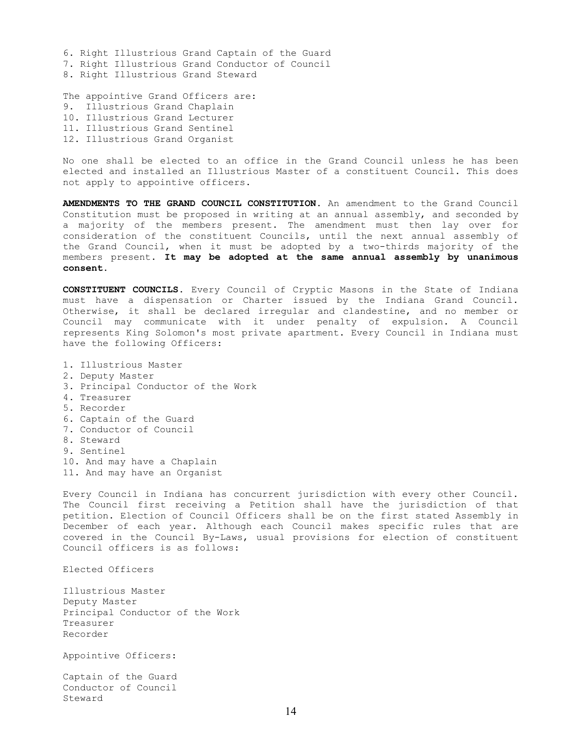6. Right Illustrious Grand Captain of the Guard 7. Right Illustrious Grand Conductor of Council 8. Right Illustrious Grand Steward

The appointive Grand Officers are: 9. Illustrious Grand Chaplain 10. Illustrious Grand Lecturer 11. Illustrious Grand Sentinel 12. Illustrious Grand Organist

No one shall be elected to an office in the Grand Council unless he has been elected and installed an Illustrious Master of a constituent Council. This does not apply to appointive officers.

**AMENDMENTS TO THE GRAND COUNCIL CONSTITUTION.** An amendment to the Grand Council Constitution must be proposed in writing at an annual assembly, and seconded by a majority of the members present. The amendment must then lay over for consideration of the constituent Councils, until the next annual assembly of the Grand Council, when it must be adopted by a two-thirds majority of the members present. **It may be adopted at the same annual assembly by unanimous consent.**

**CONSTITUENT COUNCILS.** Every Council of Cryptic Masons in the State of Indiana must have a dispensation or Charter issued by the Indiana Grand Council. Otherwise, it shall be declared irregular and clandestine, and no member or Council may communicate with it under penalty of expulsion. A Council represents King Solomon's most private apartment. Every Council in Indiana must have the following Officers:

- 1. Illustrious Master
- 2. Deputy Master
- 3. Principal Conductor of the Work
- 4. Treasurer
- 5. Recorder
- 6. Captain of the Guard
- 7. Conductor of Council
- 8. Steward
- 9. Sentinel
- 10. And may have a Chaplain
- 11. And may have an Organist

Every Council in Indiana has concurrent jurisdiction with every other Council. The Council first receiving a Petition shall have the jurisdiction of that petition. Election of Council Officers shall be on the first stated Assembly in December of each year. Although each Council makes specific rules that are covered in the Council By-Laws, usual provisions for election of constituent Council officers is as follows:

Elected Officers

Illustrious Master Deputy Master Principal Conductor of the Work Treasurer Recorder

Appointive Officers:

Captain of the Guard Conductor of Council Steward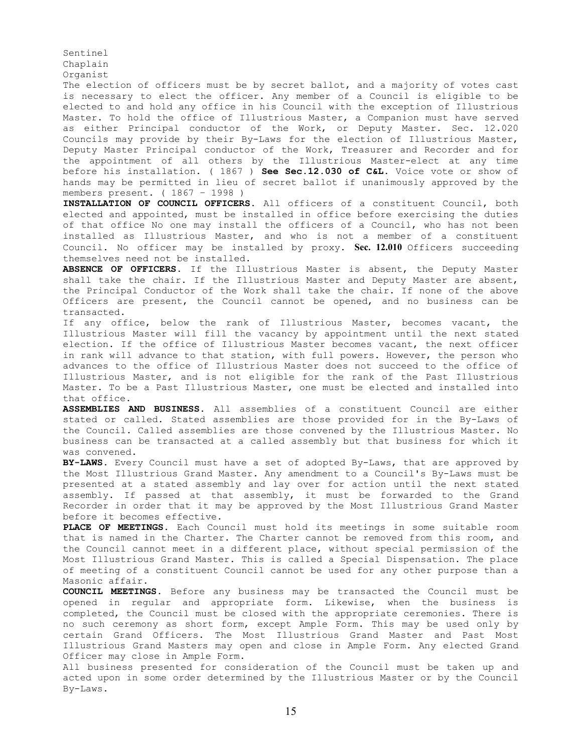Organist The election of officers must be by secret ballot, and a majority of votes cast is necessary to elect the officer. Any member of a Council is eligible to be elected to and hold any office in his Council with the exception of Illustrious Master. To hold the office of Illustrious Master, a Companion must have served as either Principal conductor of the Work, or Deputy Master. Sec. 12.020 Councils may provide by their By-Laws for the election of Illustrious Master, Deputy Master Principal conductor of the Work, Treasurer and Recorder and for the appointment of all others by the Illustrious Master-elect at any time before his installation. ( 1867 ) **See Sec.12.030 of C&L.** Voice vote or show of hands may be permitted in lieu of secret ballot if unanimously approved by the members present. ( 1867 – 1998 )

Sentinel Chaplain

**INSTALLATION OF COUNCIL OFFICERS.** All officers of a constituent Council, both elected and appointed, must be installed in office before exercising the duties of that office No one may install the officers of a Council, who has not been installed as Illustrious Master, and who is not a member of a constituent Council. No officer may be installed by proxy. **Sec. 12.010** Officers succeeding themselves need not be installed.

**ABSENCE OF OFFICERS.** If the Illustrious Master is absent, the Deputy Master shall take the chair. If the Illustrious Master and Deputy Master are absent, the Principal Conductor of the Work shall take the chair. If none of the above Officers are present, the Council cannot be opened, and no business can be transacted.

If any office, below the rank of Illustrious Master, becomes vacant, the Illustrious Master will fill the vacancy by appointment until the next stated election. If the office of Illustrious Master becomes vacant, the next officer in rank will advance to that station, with full powers. However, the person who advances to the office of Illustrious Master does not succeed to the office of Illustrious Master, and is not eligible for the rank of the Past Illustrious Master. To be a Past Illustrious Master, one must be elected and installed into that office.

**ASSEMBLIES AND BUSINESS.** All assemblies of a constituent Council are either stated or called. Stated assemblies are those provided for in the By-Laws of the Council. Called assemblies are those convened by the Illustrious Master. No business can be transacted at a called assembly but that business for which it was convened.

**BY-LAWS.** Every Council must have a set of adopted By-Laws, that are approved by the Most Illustrious Grand Master. Any amendment to a Council's By-Laws must be presented at a stated assembly and lay over for action until the next stated assembly. If passed at that assembly, it must be forwarded to the Grand Recorder in order that it may be approved by the Most Illustrious Grand Master before it becomes effective.

**PLACE OF MEETINGS.** Each Council must hold its meetings in some suitable room that is named in the Charter. The Charter cannot be removed from this room, and the Council cannot meet in a different place, without special permission of the Most Illustrious Grand Master. This is called a Special Dispensation. The place of meeting of a constituent Council cannot be used for any other purpose than a Masonic affair.

**COUNCIL MEETINGS.** Before any business may be transacted the Council must be opened in regular and appropriate form. Likewise, when the business is completed, the Council must be closed with the appropriate ceremonies. There is no such ceremony as short form, except Ample Form. This may be used only by certain Grand Officers. The Most Illustrious Grand Master and Past Most Illustrious Grand Masters may open and close in Ample Form. Any elected Grand Officer may close in Ample Form.

All business presented for consideration of the Council must be taken up and acted upon in some order determined by the Illustrious Master or by the Council By-Laws.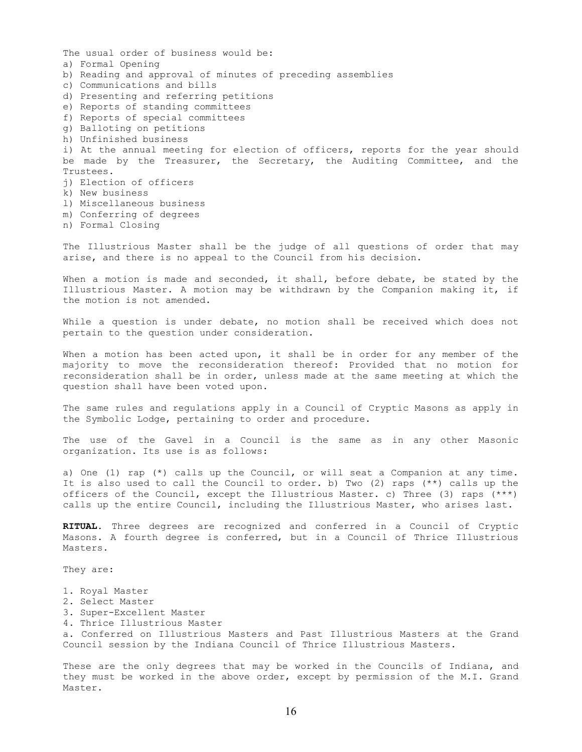The usual order of business would be: a) Formal Opening b) Reading and approval of minutes of preceding assemblies c) Communications and bills d) Presenting and referring petitions e) Reports of standing committees f) Reports of special committees g) Balloting on petitions h) Unfinished business i) At the annual meeting for election of officers, reports for the year should be made by the Treasurer, the Secretary, the Auditing Committee, and the Trustees. j) Election of officers k) New business l) Miscellaneous business m) Conferring of degrees n) Formal Closing

The Illustrious Master shall be the judge of all questions of order that may arise, and there is no appeal to the Council from his decision.

When a motion is made and seconded, it shall, before debate, be stated by the Illustrious Master. A motion may be withdrawn by the Companion making it, if the motion is not amended.

While a question is under debate, no motion shall be received which does not pertain to the question under consideration.

When a motion has been acted upon, it shall be in order for any member of the majority to move the reconsideration thereof: Provided that no motion for reconsideration shall be in order, unless made at the same meeting at which the question shall have been voted upon.

The same rules and regulations apply in a Council of Cryptic Masons as apply in the Symbolic Lodge, pertaining to order and procedure.

The use of the Gavel in a Council is the same as in any other Masonic organization. Its use is as follows:

a) One (1) rap (\*) calls up the Council, or will seat a Companion at any time. It is also used to call the Council to order. b) Two (2) raps (\*\*) calls up the officers of the Council, except the Illustrious Master. c) Three (3) raps (\*\*\*) calls up the entire Council, including the Illustrious Master, who arises last.

**RITUAL.** Three degrees are recognized and conferred in a Council of Cryptic Masons. A fourth degree is conferred, but in a Council of Thrice Illustrious Masters.

They are:

- 1. Royal Master
- 2. Select Master
- 3. Super-Excellent Master
- 4. Thrice Illustrious Master

a. Conferred on Illustrious Masters and Past Illustrious Masters at the Grand Council session by the Indiana Council of Thrice Illustrious Masters.

These are the only degrees that may be worked in the Councils of Indiana, and they must be worked in the above order, except by permission of the M.I. Grand Master.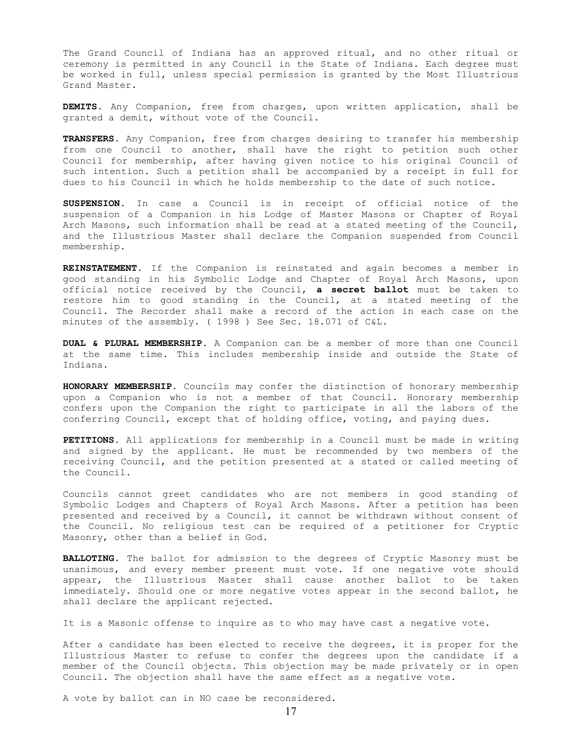The Grand Council of Indiana has an approved ritual, and no other ritual or ceremony is permitted in any Council in the State of Indiana. Each degree must be worked in full, unless special permission is granted by the Most Illustrious Grand Master.

**DEMITS.** Any Companion, free from charges, upon written application, shall be granted a demit, without vote of the Council.

**TRANSFERS.** Any Companion, free from charges desiring to transfer his membership from one Council to another, shall have the right to petition such other Council for membership, after having given notice to his original Council of such intention. Such a petition shall be accompanied by a receipt in full for dues to his Council in which he holds membership to the date of such notice.

**SUSPENSION.** In case a Council is in receipt of official notice of the suspension of a Companion in his Lodge of Master Masons or Chapter of Royal Arch Masons, such information shall be read at a stated meeting of the Council, and the Illustrious Master shall declare the Companion suspended from Council membership.

**REINSTATEMENT**. If the Companion is reinstated and again becomes a member in good standing in his Symbolic Lodge and Chapter of Royal Arch Masons, upon official notice received by the Council, **a secret ballot** must be taken to restore him to good standing in the Council, at a stated meeting of the Council. The Recorder shall make a record of the action in each case on the minutes of the assembly. ( 1998 ) See Sec. 18.071 of C&L.

**DUAL & PLURAL MEMBERSHIP.** A Companion can be a member of more than one Council at the same time. This includes membership inside and outside the State of Indiana.

**HONORARY MEMBERSHIP.** Councils may confer the distinction of honorary membership upon a Companion who is not a member of that Council. Honorary membership confers upon the Companion the right to participate in all the labors of the conferring Council, except that of holding office, voting, and paying dues.

**PETITIONS.** All applications for membership in a Council must be made in writing and signed by the applicant. He must be recommended by two members of the receiving Council, and the petition presented at a stated or called meeting of the Council.

Councils cannot greet candidates who are not members in good standing of Symbolic Lodges and Chapters of Royal Arch Masons. After a petition has been presented and received by a Council, it cannot be withdrawn without consent of the Council. No religious test can be required of a petitioner for Cryptic Masonry, other than a belief in God.

**BALLOTING.** The ballot for admission to the degrees of Cryptic Masonry must be unanimous, and every member present must vote. If one negative vote should appear, the Illustrious Master shall cause another ballot to be taken immediately. Should one or more negative votes appear in the second ballot, he shall declare the applicant rejected.

It is a Masonic offense to inquire as to who may have cast a negative vote.

After a candidate has been elected to receive the degrees, it is proper for the Illustrious Master to refuse to confer the degrees upon the candidate if a member of the Council objects. This objection may be made privately or in open Council. The objection shall have the same effect as a negative vote.

A vote by ballot can in NO case be reconsidered.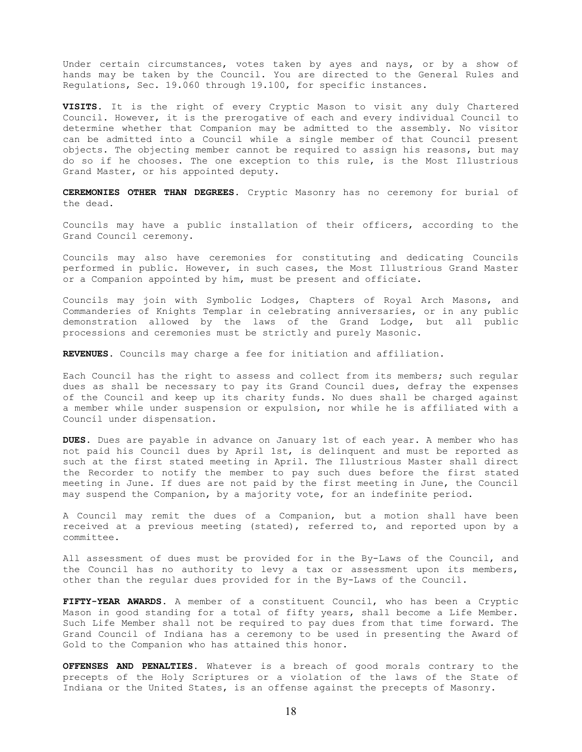Under certain circumstances, votes taken by ayes and nays, or by a show of hands may be taken by the Council. You are directed to the General Rules and Regulations, Sec. 19.060 through 19.100, for specific instances.

**VISITS.** It is the right of every Cryptic Mason to visit any duly Chartered Council. However, it is the prerogative of each and every individual Council to determine whether that Companion may be admitted to the assembly. No visitor can be admitted into a Council while a single member of that Council present objects. The objecting member cannot be required to assign his reasons, but may do so if he chooses. The one exception to this rule, is the Most Illustrious Grand Master, or his appointed deputy.

**CEREMONIES OTHER THAN DEGREES.** Cryptic Masonry has no ceremony for burial of the dead.

Councils may have a public installation of their officers, according to the Grand Council ceremony.

Councils may also have ceremonies for constituting and dedicating Councils performed in public. However, in such cases, the Most Illustrious Grand Master or a Companion appointed by him, must be present and officiate.

Councils may join with Symbolic Lodges, Chapters of Royal Arch Masons, and Commanderies of Knights Templar in celebrating anniversaries, or in any public demonstration allowed by the laws of the Grand Lodge, but all public processions and ceremonies must be strictly and purely Masonic.

**REVENUES**. Councils may charge a fee for initiation and affiliation.

Each Council has the right to assess and collect from its members; such regular dues as shall be necessary to pay its Grand Council dues, defray the expenses of the Council and keep up its charity funds. No dues shall be charged against a member while under suspension or expulsion, nor while he is affiliated with a Council under dispensation.

**DUES.** Dues are payable in advance on January 1st of each year. A member who has not paid his Council dues by April 1st, is delinquent and must be reported as such at the first stated meeting in April. The Illustrious Master shall direct the Recorder to notify the member to pay such dues before the first stated meeting in June. If dues are not paid by the first meeting in June, the Council may suspend the Companion, by a majority vote, for an indefinite period.

A Council may remit the dues of a Companion, but a motion shall have been received at a previous meeting (stated), referred to, and reported upon by a committee.

All assessment of dues must be provided for in the By-Laws of the Council, and the Council has no authority to levy a tax or assessment upon its members, other than the regular dues provided for in the By-Laws of the Council.

**FIFTY-YEAR AWARDS.** A member of a constituent Council, who has been a Cryptic Mason in good standing for a total of fifty years, shall become a Life Member. Such Life Member shall not be required to pay dues from that time forward. The Grand Council of Indiana has a ceremony to be used in presenting the Award of Gold to the Companion who has attained this honor.

**OFFENSES AND PENALTIES.** Whatever is a breach of good morals contrary to the precepts of the Holy Scriptures or a violation of the laws of the State of Indiana or the United States, is an offense against the precepts of Masonry.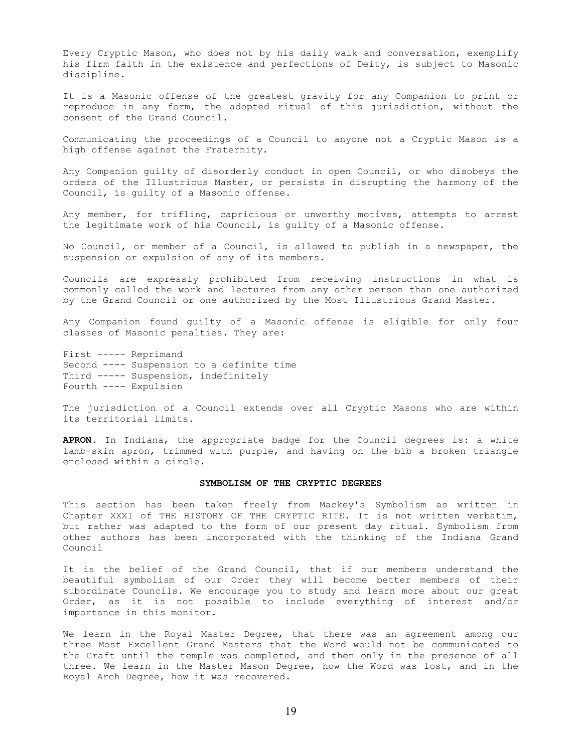Every Cryptic Mason, who does not by his daily walk and conversation, exemplify his firm faith in the existence and perfections of Deity, is subject to Masonic discipline.

It is a Masonic offense of the greatest gravity for any Companion to print or reproduce in any form, the adopted ritual of this jurisdiction, without the consent of the Grand Council.

Communicating the proceedings of a Council to anyone not a Cryptic Mason is a high offense against the Fraternity.

Any Companion guilty of disorderly conduct in open Council, or who disobeys the orders of the Illustrious Master, or persists in disrupting the harmony of the Council, is guilty of a Masonic offense.

Any member, for trifling, capricious or unworthy motives, attempts to arrest the legitimate work of his Council, is guilty of a Masonic offense.

No Council, or member of a Council, is allowed to publish in a newspaper, the suspension or expulsion of any of its members.

Councils are expressly prohibited from receiving instructions in what is commonly called the work and lectures from any other person than one authorized by the Grand Council or one authorized by the Most Illustrious Grand Master.

Any Companion found guilty of a Masonic offense is eligible for only four classes of Masonic penalties. They are:

First ----- Reprimand Second ---- Suspension to a definite time Third ----- Suspension, indefinitely Fourth ---- Expulsion

The jurisdiction of a Council extends over all Cryptic Masons who are within its territorial limits.

**APRON.** In Indiana, the appropriate badge for the Council degrees is: a white lamb-skin apron, trimmed with purple, and having on the bib a broken triangle enclosed within a circle.

# **SYMBOLISM OF THE CRYPTIC DEGREES**

This section has been taken freely from Mackey's Symbolism as written in Chapter XXXI of THE HISTORY OF THE CRYPTIC RITE. It is not written verbatim, but rather was adapted to the form of our present day ritual. Symbolism from other authors has been incorporated with the thinking of the Indiana Grand Council

It is the belief of the Grand Council, that if our members understand the beautiful symbolism of our Order they will become better members of their subordinate Councils. We encourage you to study and learn more about our great Order, as it is not possible to include everything of interest and/or importance in this monitor.

We learn in the Royal Master Degree, that there was an agreement among our three Most Excellent Grand Masters that the Word would not be communicated to the Craft until the temple was completed, and then only in the presence of all three. We learn in the Master Mason Degree, how the Word was lost, and in the Royal Arch Degree, how it was recovered.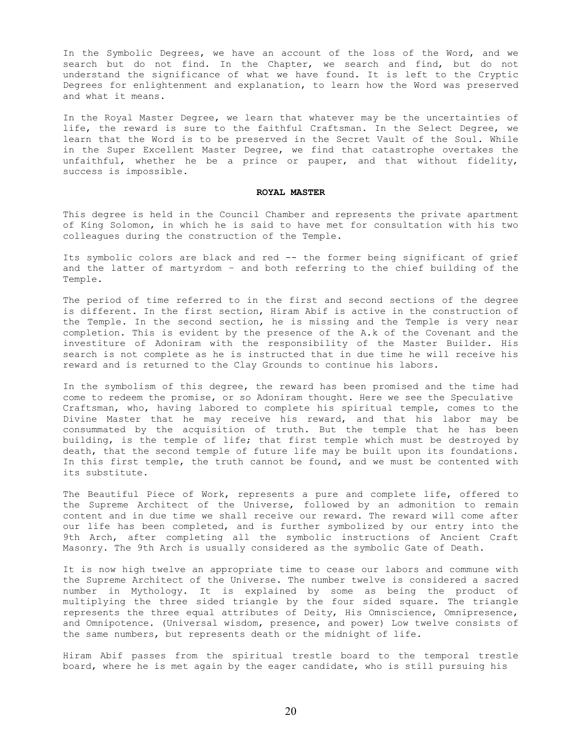In the Symbolic Degrees, we have an account of the loss of the Word, and we search but do not find. In the Chapter, we search and find, but do not understand the significance of what we have found. It is left to the Cryptic Degrees for enlightenment and explanation, to learn how the Word was preserved and what it means.

In the Royal Master Degree, we learn that whatever may be the uncertainties of life, the reward is sure to the faithful Craftsman. In the Select Degree, we learn that the Word is to be preserved in the Secret Vault of the Soul. While in the Super Excellent Master Degree, we find that catastrophe overtakes the unfaithful, whether he be a prince or pauper, and that without fidelity, success is impossible.

## **ROYAL MASTER**

This degree is held in the Council Chamber and represents the private apartment of King Solomon, in which he is said to have met for consultation with his two colleagues during the construction of the Temple.

Its symbolic colors are black and red -- the former being significant of grief and the latter of martyrdom – and both referring to the chief building of the Temple.

The period of time referred to in the first and second sections of the degree is different. In the first section, Hiram Abif is active in the construction of the Temple. In the second section, he is missing and the Temple is very near completion. This is evident by the presence of the A.k of the Covenant and the investiture of Adoniram with the responsibility of the Master Builder. His search is not complete as he is instructed that in due time he will receive his reward and is returned to the Clay Grounds to continue his labors.

In the symbolism of this degree, the reward has been promised and the time had come to redeem the promise, or so Adoniram thought. Here we see the Speculative Craftsman, who, having labored to complete his spiritual temple, comes to the Divine Master that he may receive his reward, and that his labor may be consummated by the acquisition of truth. But the temple that he has been building, is the temple of life; that first temple which must be destroyed by death, that the second temple of future life may be built upon its foundations. In this first temple, the truth cannot be found, and we must be contented with its substitute.

The Beautiful Piece of Work, represents a pure and complete life, offered to the Supreme Architect of the Universe, followed by an admonition to remain content and in due time we shall receive our reward. The reward will come after our life has been completed, and is further symbolized by our entry into the 9th Arch, after completing all the symbolic instructions of Ancient Craft Masonry. The 9th Arch is usually considered as the symbolic Gate of Death.

It is now high twelve an appropriate time to cease our labors and commune with the Supreme Architect of the Universe. The number twelve is considered a sacred number in Mythology. It is explained by some as being the product of multiplying the three sided triangle by the four sided square. The triangle represents the three equal attributes of Deity, His Omniscience, Omnipresence, and Omnipotence. (Universal wisdom, presence, and power) Low twelve consists of the same numbers, but represents death or the midnight of life.

Hiram Abif passes from the spiritual trestle board to the temporal trestle board, where he is met again by the eager candidate, who is still pursuing his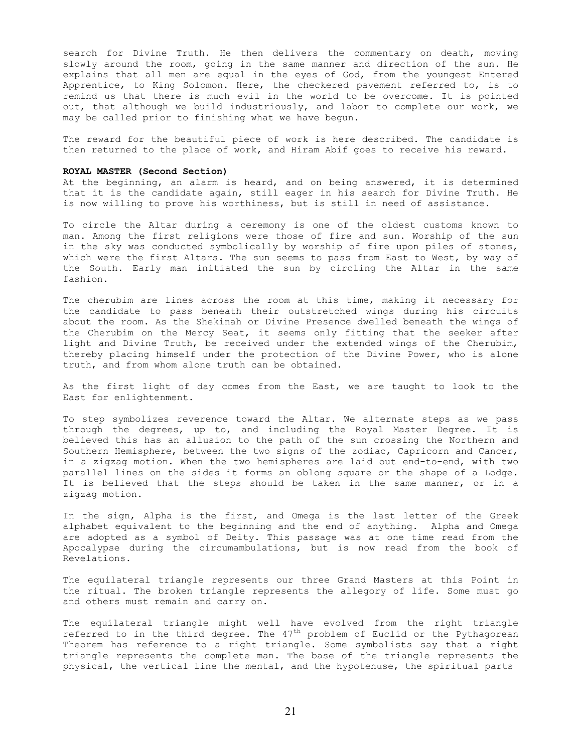search for Divine Truth. He then delivers the commentary on death, moving slowly around the room, going in the same manner and direction of the sun. He explains that all men are equal in the eyes of God, from the youngest Entered Apprentice, to King Solomon. Here, the checkered pavement referred to, is to remind us that there is much evil in the world to be overcome. It is pointed out, that although we build industriously, and labor to complete our work, we may be called prior to finishing what we have begun.

The reward for the beautiful piece of work is here described. The candidate is then returned to the place of work, and Hiram Abif goes to receive his reward.

# **ROYAL MASTER (Second Section)**

At the beginning, an alarm is heard, and on being answered, it is determined that it is the candidate again, still eager in his search for Divine Truth. He is now willing to prove his worthiness, but is still in need of assistance.

To circle the Altar during a ceremony is one of the oldest customs known to man. Among the first religions were those of fire and sun. Worship of the sun in the sky was conducted symbolically by worship of fire upon piles of stones, which were the first Altars. The sun seems to pass from East to West, by way of the South. Early man initiated the sun by circling the Altar in the same fashion.

The cherubim are lines across the room at this time, making it necessary for the candidate to pass beneath their outstretched wings during his circuits about the room. As the Shekinah or Divine Presence dwelled beneath the wings of the Cherubim on the Mercy Seat, it seems only fitting that the seeker after light and Divine Truth, be received under the extended wings of the Cherubim, thereby placing himself under the protection of the Divine Power, who is alone truth, and from whom alone truth can be obtained.

As the first light of day comes from the East, we are taught to look to the East for enlightenment.

To step symbolizes reverence toward the Altar. We alternate steps as we pass through the degrees, up to, and including the Royal Master Degree. It is believed this has an allusion to the path of the sun crossing the Northern and Southern Hemisphere, between the two signs of the zodiac, Capricorn and Cancer, in a zigzag motion. When the two hemispheres are laid out end-to-end, with two parallel lines on the sides it forms an oblong square or the shape of a Lodge. It is believed that the steps should be taken in the same manner, or in a zigzag motion.

In the sign, Alpha is the first, and Omega is the last letter of the Greek alphabet equivalent to the beginning and the end of anything. Alpha and Omega are adopted as a symbol of Deity. This passage was at one time read from the Apocalypse during the circumambulations, but is now read from the book of Revelations.

The equilateral triangle represents our three Grand Masters at this Point in the ritual. The broken triangle represents the allegory of life. Some must go and others must remain and carry on.

The equilateral triangle might well have evolved from the right triangle referred to in the third degree. The 47<sup>th</sup> problem of Euclid or the Pythagorean Theorem has reference to a right triangle. Some symbolists say that a right triangle represents the complete man. The base of the triangle represents the physical, the vertical line the mental, and the hypotenuse, the spiritual parts

21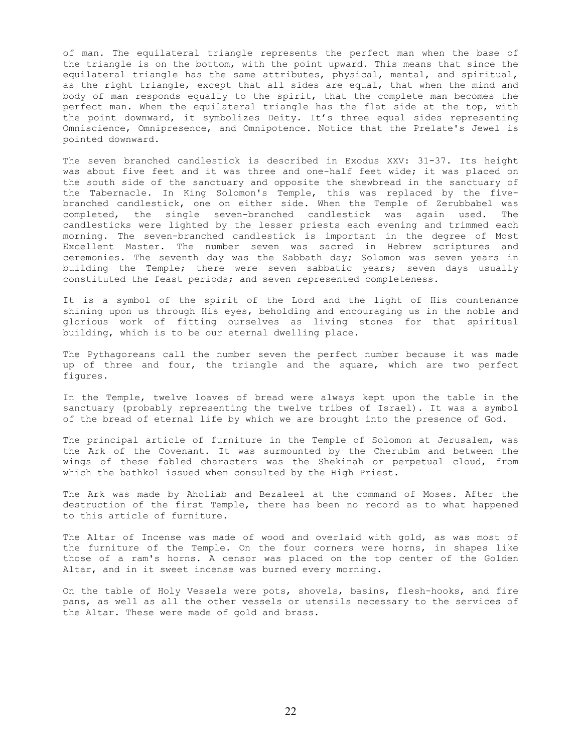of man. The equilateral triangle represents the perfect man when the base of the triangle is on the bottom, with the point upward. This means that since the equilateral triangle has the same attributes, physical, mental, and spiritual, as the right triangle, except that all sides are equal, that when the mind and body of man responds equally to the spirit, that the complete man becomes the perfect man. When the equilateral triangle has the flat side at the top, with the point downward, it symbolizes Deity. It's three equal sides representing Omniscience, Omnipresence, and Omnipotence. Notice that the Prelate's Jewel is pointed downward.

The seven branched candlestick is described in Exodus XXV: 31-37. Its height was about five feet and it was three and one-half feet wide; it was placed on the south side of the sanctuary and opposite the shewbread in the sanctuary of the Tabernacle. In King Solomon's Temple, this was replaced by the fivebranched candlestick, one on either side. When the Temple of Zerubbabel was completed, the single seven-branched candlestick was again used. The candlesticks were lighted by the lesser priests each evening and trimmed each morning. The seven-branched candlestick is important in the degree of Most Excellent Master. The number seven was sacred in Hebrew scriptures and ceremonies. The seventh day was the Sabbath day; Solomon was seven years in building the Temple; there were seven sabbatic years; seven days usually constituted the feast periods; and seven represented completeness.

It is a symbol of the spirit of the Lord and the light of His countenance shining upon us through His eyes, beholding and encouraging us in the noble and glorious work of fitting ourselves as living stones for that spiritual building, which is to be our eternal dwelling place.

The Pythagoreans call the number seven the perfect number because it was made up of three and four, the triangle and the square, which are two perfect figures.

In the Temple, twelve loaves of bread were always kept upon the table in the sanctuary (probably representing the twelve tribes of Israel). It was a symbol of the bread of eternal life by which we are brought into the presence of God.

The principal article of furniture in the Temple of Solomon at Jerusalem, was the Ark of the Covenant. It was surmounted by the Cherubim and between the wings of these fabled characters was the Shekinah or perpetual cloud, from which the bathkol issued when consulted by the High Priest.

The Ark was made by Aholiab and Bezaleel at the command of Moses. After the destruction of the first Temple, there has been no record as to what happened to this article of furniture.

The Altar of Incense was made of wood and overlaid with gold, as was most of the furniture of the Temple. On the four corners were horns, in shapes like those of a ram's horns. A censor was placed on the top center of the Golden Altar, and in it sweet incense was burned every morning.

On the table of Holy Vessels were pots, shovels, basins, flesh-hooks, and fire pans, as well as all the other vessels or utensils necessary to the services of the Altar. These were made of gold and brass.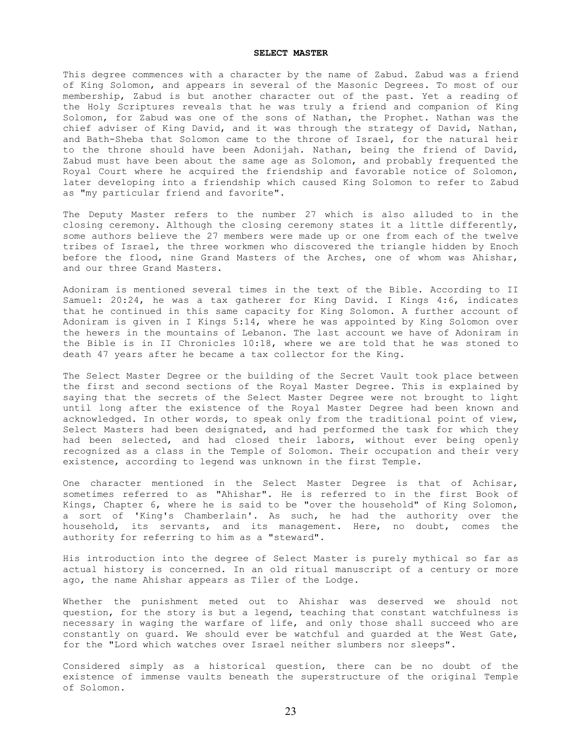## **SELECT MASTER**

This degree commences with a character by the name of Zabud. Zabud was a friend of King Solomon, and appears in several of the Masonic Degrees. To most of our membership, Zabud is but another character out of the past. Yet a reading of the Holy Scriptures reveals that he was truly a friend and companion of King Solomon, for Zabud was one of the sons of Nathan, the Prophet. Nathan was the chief adviser of King David, and it was through the strategy of David, Nathan, and Bath-Sheba that Solomon came to the throne of Israel, for the natural heir to the throne should have been Adonijah. Nathan, being the friend of David, Zabud must have been about the same age as Solomon, and probably frequented the Royal Court where he acquired the friendship and favorable notice of Solomon, later developing into a friendship which caused King Solomon to refer to Zabud as "my particular friend and favorite".

The Deputy Master refers to the number 27 which is also alluded to in the closing ceremony. Although the closing ceremony states it a little differently, some authors believe the 27 members were made up or one from each of the twelve tribes of Israel, the three workmen who discovered the triangle hidden by Enoch before the flood, nine Grand Masters of the Arches, one of whom was Ahishar, and our three Grand Masters.

Adoniram is mentioned several times in the text of the Bible. According to II Samuel: 20:24, he was a tax gatherer for King David. I Kings 4:6, indicates that he continued in this same capacity for King Solomon. A further account of Adoniram is given in I Kings 5:14, where he was appointed by King Solomon over the hewers in the mountains of Lebanon. The last account we have of Adoniram in the Bible is in II Chronicles 10:18, where we are told that he was stoned to death 47 years after he became a tax collector for the King.

The Select Master Degree or the building of the Secret Vault took place between the first and second sections of the Royal Master Degree. This is explained by saying that the secrets of the Select Master Degree were not brought to light until long after the existence of the Royal Master Degree had been known and acknowledged. In other words, to speak only from the traditional point of view, Select Masters had been designated, and had performed the task for which they had been selected, and had closed their labors, without ever being openly recognized as a class in the Temple of Solomon. Their occupation and their very existence, according to legend was unknown in the first Temple.

One character mentioned in the Select Master Degree is that of Achisar, sometimes referred to as "Ahishar". He is referred to in the first Book of Kings, Chapter 6, where he is said to be "over the household" of King Solomon, a sort of 'King's Chamberlain'. As such, he had the authority over the household, its servants, and its management. Here, no doubt, comes the authority for referring to him as a "steward".

His introduction into the degree of Select Master is purely mythical so far as actual history is concerned. In an old ritual manuscript of a century or more ago, the name Ahishar appears as Tiler of the Lodge.

Whether the punishment meted out to Ahishar was deserved we should not question, for the story is but a legend, teaching that constant watchfulness is necessary in waging the warfare of life, and only those shall succeed who are constantly on guard. We should ever be watchful and guarded at the West Gate, for the "Lord which watches over Israel neither slumbers nor sleeps".

Considered simply as a historical question, there can be no doubt of the existence of immense vaults beneath the superstructure of the original Temple of Solomon.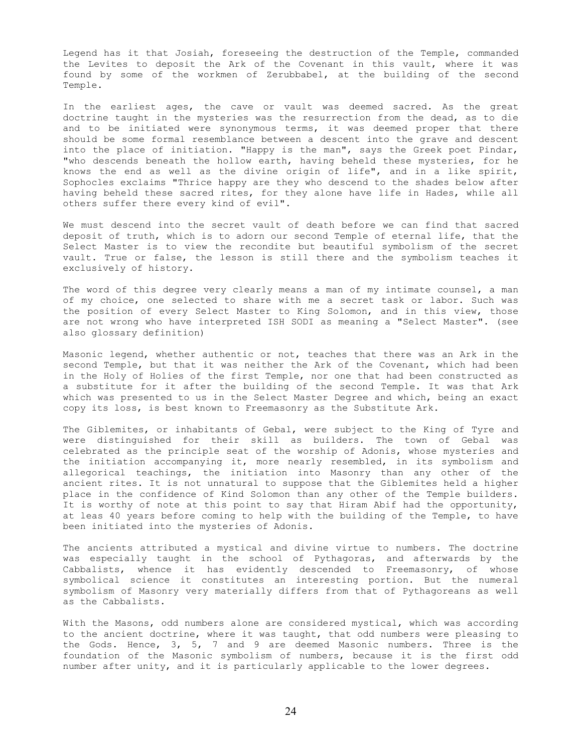Legend has it that Josiah, foreseeing the destruction of the Temple, commanded the Levites to deposit the Ark of the Covenant in this vault, where it was found by some of the workmen of Zerubbabel, at the building of the second Temple.

In the earliest ages, the cave or vault was deemed sacred. As the great doctrine taught in the mysteries was the resurrection from the dead, as to die and to be initiated were synonymous terms, it was deemed proper that there should be some formal resemblance between a descent into the grave and descent into the place of initiation. "Happy is the man", says the Greek poet Pindar, "who descends beneath the hollow earth, having beheld these mysteries, for he knows the end as well as the divine origin of life", and in a like spirit, Sophocles exclaims "Thrice happy are they who descend to the shades below after having beheld these sacred rites, for they alone have life in Hades, while all others suffer there every kind of evil".

We must descend into the secret vault of death before we can find that sacred deposit of truth, which is to adorn our second Temple of eternal life, that the Select Master is to view the recondite but beautiful symbolism of the secret vault. True or false, the lesson is still there and the symbolism teaches it exclusively of history.

The word of this degree very clearly means a man of my intimate counsel, a man of my choice, one selected to share with me a secret task or labor. Such was the position of every Select Master to King Solomon, and in this view, those are not wrong who have interpreted ISH SODI as meaning a "Select Master". (see also glossary definition)

Masonic legend, whether authentic or not, teaches that there was an Ark in the second Temple, but that it was neither the Ark of the Covenant, which had been in the Holy of Holies of the first Temple, nor one that had been constructed as a substitute for it after the building of the second Temple. It was that Ark which was presented to us in the Select Master Degree and which, being an exact copy its loss, is best known to Freemasonry as the Substitute Ark.

The Giblemites, or inhabitants of Gebal, were subject to the King of Tyre and were distinguished for their skill as builders. The town of Gebal was celebrated as the principle seat of the worship of Adonis, whose mysteries and the initiation accompanying it, more nearly resembled, in its symbolism and allegorical teachings, the initiation into Masonry than any other of the ancient rites. It is not unnatural to suppose that the Giblemites held a higher place in the confidence of Kind Solomon than any other of the Temple builders. It is worthy of note at this point to say that Hiram Abif had the opportunity, at leas 40 years before coming to help with the building of the Temple, to have been initiated into the mysteries of Adonis.

The ancients attributed a mystical and divine virtue to numbers. The doctrine was especially taught in the school of Pythagoras, and afterwards by the Cabbalists, whence it has evidently descended to Freemasonry, of whose symbolical science it constitutes an interesting portion. But the numeral symbolism of Masonry very materially differs from that of Pythagoreans as well as the Cabbalists.

With the Masons, odd numbers alone are considered mystical, which was according to the ancient doctrine, where it was taught, that odd numbers were pleasing to the Gods. Hence, 3, 5, 7 and 9 are deemed Masonic numbers. Three is the foundation of the Masonic symbolism of numbers, because it is the first odd number after unity, and it is particularly applicable to the lower degrees.

24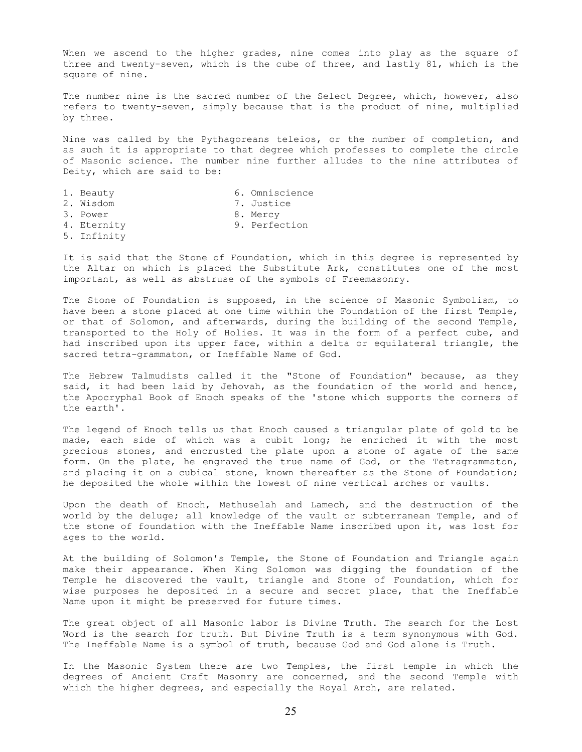When we ascend to the higher grades, nine comes into play as the square of three and twenty-seven, which is the cube of three, and lastly 81, which is the square of nine.

The number nine is the sacred number of the Select Degree, which, however, also refers to twenty-seven, simply because that is the product of nine, multiplied by three.

Nine was called by the Pythagoreans teleios, or the number of completion, and as such it is appropriate to that degree which professes to complete the circle of Masonic science. The number nine further alludes to the nine attributes of Deity, which are said to be:

| 1. Beauty   | 6. Omniscience |
|-------------|----------------|
| 2. Wisdom   | 7. Justice     |
| 3. Power    | 8. Mercy       |
| 4. Eternity | 9. Perfection  |
| 5. Infinity |                |

It is said that the Stone of Foundation, which in this degree is represented by the Altar on which is placed the Substitute Ark, constitutes one of the most important, as well as abstruse of the symbols of Freemasonry.

The Stone of Foundation is supposed, in the science of Masonic Symbolism, to have been a stone placed at one time within the Foundation of the first Temple, or that of Solomon, and afterwards, during the building of the second Temple, transported to the Holy of Holies. It was in the form of a perfect cube, and had inscribed upon its upper face, within a delta or equilateral triangle, the sacred tetra-grammaton, or Ineffable Name of God.

The Hebrew Talmudists called it the "Stone of Foundation" because, as they said, it had been laid by Jehovah, as the foundation of the world and hence, the Apocryphal Book of Enoch speaks of the 'stone which supports the corners of the earth'.

The legend of Enoch tells us that Enoch caused a triangular plate of gold to be made, each side of which was a cubit long; he enriched it with the most precious stones, and encrusted the plate upon a stone of agate of the same form. On the plate, he engraved the true name of God, or the Tetragrammaton, and placing it on a cubical stone, known thereafter as the Stone of Foundation; he deposited the whole within the lowest of nine vertical arches or vaults.

Upon the death of Enoch, Methuselah and Lamech, and the destruction of the world by the deluge; all knowledge of the vault or subterranean Temple, and of the stone of foundation with the Ineffable Name inscribed upon it, was lost for ages to the world.

At the building of Solomon's Temple, the Stone of Foundation and Triangle again make their appearance. When King Solomon was digging the foundation of the Temple he discovered the vault, triangle and Stone of Foundation, which for wise purposes he deposited in a secure and secret place, that the Ineffable Name upon it might be preserved for future times.

The great object of all Masonic labor is Divine Truth. The search for the Lost Word is the search for truth. But Divine Truth is a term synonymous with God. The Ineffable Name is a symbol of truth, because God and God alone is Truth.

In the Masonic System there are two Temples, the first temple in which the degrees of Ancient Craft Masonry are concerned, and the second Temple with which the higher degrees, and especially the Royal Arch, are related.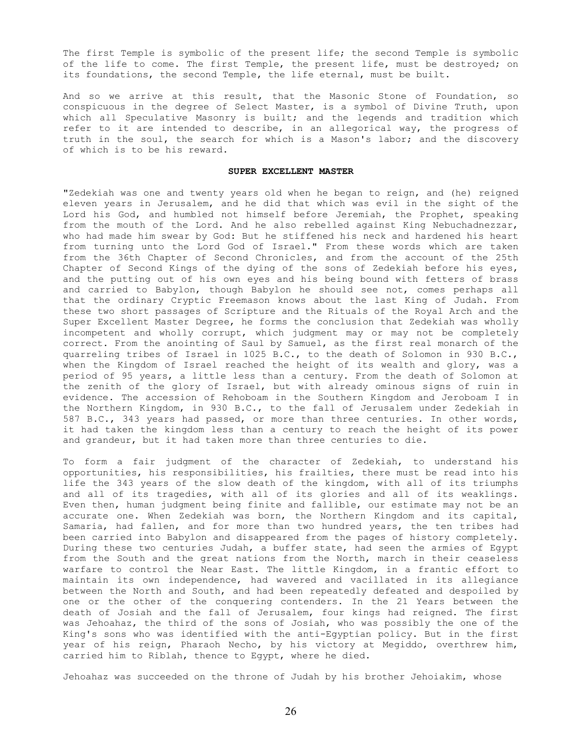The first Temple is symbolic of the present life; the second Temple is symbolic of the life to come. The first Temple, the present life, must be destroyed; on its foundations, the second Temple, the life eternal, must be built.

And so we arrive at this result, that the Masonic Stone of Foundation, so conspicuous in the degree of Select Master, is a symbol of Divine Truth, upon which all Speculative Masonry is built; and the legends and tradition which refer to it are intended to describe, in an allegorical way, the progress of truth in the soul, the search for which is a Mason's labor; and the discovery of which is to be his reward.

# **SUPER EXCELLENT MASTER**

"Zedekiah was one and twenty years old when he began to reign, and (he) reigned eleven years in Jerusalem, and he did that which was evil in the sight of the Lord his God, and humbled not himself before Jeremiah, the Prophet, speaking from the mouth of the Lord. And he also rebelled against King Nebuchadnezzar, who had made him swear by God: But he stiffened his neck and hardened his heart from turning unto the Lord God of Israel." From these words which are taken from the 36th Chapter of Second Chronicles, and from the account of the 25th Chapter of Second Kings of the dying of the sons of Zedekiah before his eyes, and the putting out of his own eyes and his being bound with fetters of brass and carried to Babylon, though Babylon he should see not, comes perhaps all that the ordinary Cryptic Freemason knows about the last King of Judah. From these two short passages of Scripture and the Rituals of the Royal Arch and the Super Excellent Master Degree, he forms the conclusion that Zedekiah was wholly incompetent and wholly corrupt, which judgment may or may not be completely correct. From the anointing of Saul by Samuel, as the first real monarch of the quarreling tribes of Israel in 1025 B.C., to the death of Solomon in 930 B.C., when the Kingdom of Israel reached the height of its wealth and glory, was a period of 95 years, a little less than a century. From the death of Solomon at the zenith of the glory of Israel, but with already ominous signs of ruin in evidence. The accession of Rehoboam in the Southern Kingdom and Jeroboam I in the Northern Kingdom, in 930 B.C., to the fall of Jerusalem under Zedekiah in 587 B.C., 343 years had passed, or more than three centuries. In other words, it had taken the kingdom less than a century to reach the height of its power and grandeur, but it had taken more than three centuries to die.

To form a fair judgment of the character of Zedekiah, to understand his opportunities, his responsibilities, his frailties, there must be read into his life the 343 years of the slow death of the kingdom, with all of its triumphs and all of its tragedies, with all of its glories and all of its weaklings. Even then, human judgment being finite and fallible, our estimate may not be an accurate one. When Zedekiah was born, the Northern Kingdom and its capital, Samaria, had fallen, and for more than two hundred years, the ten tribes had been carried into Babylon and disappeared from the pages of history completely. During these two centuries Judah, a buffer state, had seen the armies of Egypt from the South and the great nations from the North, march in their ceaseless warfare to control the Near East. The little Kingdom, in a frantic effort to maintain its own independence, had wavered and vacillated in its allegiance between the North and South, and had been repeatedly defeated and despoiled by one or the other of the conquering contenders. In the 21 Years between the death of Josiah and the fall of Jerusalem, four kings had reigned. The first was Jehoahaz, the third of the sons of Josiah, who was possibly the one of the King's sons who was identified with the anti-Egyptian policy. But in the first year of his reign, Pharaoh Necho, by his victory at Megiddo, overthrew him, carried him to Riblah, thence to Egypt, where he died.

Jehoahaz was succeeded on the throne of Judah by his brother Jehoiakim, whose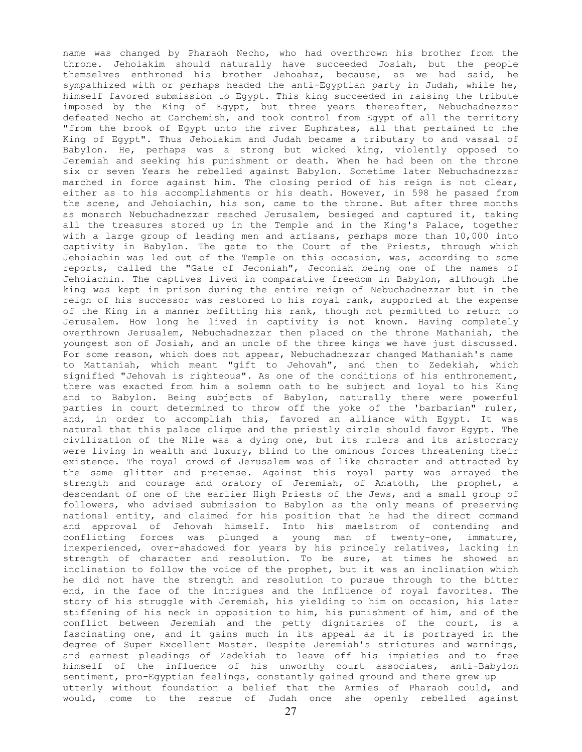name was changed by Pharaoh Necho, who had overthrown his brother from the throne. Jehoiakim should naturally have succeeded Josiah, but the people themselves enthroned his brother Jehoahaz, because, as we had said, he sympathized with or perhaps headed the anti-Egyptian party in Judah, while he, himself favored submission to Egypt. This king succeeded in raising the tribute imposed by the King of Egypt, but three years thereafter, Nebuchadnezzar defeated Necho at Carchemish, and took control from Egypt of all the territory "from the brook of Egypt unto the river Euphrates, all that pertained to the King of Egypt". Thus Jehoiakim and Judah became a tributary to and vassal of Babylon. He, perhaps was a strong but wicked king, violently opposed to Jeremiah and seeking his punishment or death. When he had been on the throne six or seven Years he rebelled against Babylon. Sometime later Nebuchadnezzar marched in force against him. The closing period of his reign is not clear, either as to his accomplishments or his death. However, in 598 he passed from the scene, and Jehoiachin, his son, came to the throne. But after three months as monarch Nebuchadnezzar reached Jerusalem, besieged and captured it, taking all the treasures stored up in the Temple and in the King's Palace, together with a large group of leading men and artisans, perhaps more than 10,000 into captivity in Babylon. The gate to the Court of the Priests, through which Jehoiachin was led out of the Temple on this occasion, was, according to some reports, called the "Gate of Jeconiah", Jeconiah being one of the names of Jehoiachin. The captives lived in comparative freedom in Babylon, although the king was kept in prison during the entire reign of Nebuchadnezzar but in the reign of his successor was restored to his royal rank, supported at the expense of the King in a manner befitting his rank, though not permitted to return to Jerusalem. How long he lived in captivity is not known. Having completely overthrown Jerusalem, Nebuchadnezzar then placed on the throne Mathaniah, the youngest son of Josiah, and an uncle of the three kings we have just discussed. For some reason, which does not appear, Nebuchadnezzar changed Mathaniah's name to Mattaniah, which meant "gift to Jehovah", and then to Zedekiah, which signified "Jehovah is righteous". As one of the conditions of his enthronement, there was exacted from him a solemn oath to be subject and loyal to his King and to Babylon. Being subjects of Babylon, naturally there were powerful parties in court determined to throw off the yoke of the 'barbarian" ruler, and, in order to accomplish this, favored an alliance with Egypt. It was natural that this palace clique and the priestly circle should favor Egypt. The civilization of the Nile was a dying one, but its rulers and its aristocracy were living in wealth and luxury, blind to the ominous forces threatening their existence. The royal crowd of Jerusalem was of like character and attracted by the same glitter and pretense. Against this royal party was arrayed the strength and courage and oratory of Jeremiah, of Anatoth, the prophet, a descendant of one of the earlier High Priests of the Jews, and a small group of followers, who advised submission to Babylon as the only means of preserving national entity, and claimed for his position that he had the direct command and approval of Jehovah himself. Into his maelstrom of contending and conflicting forces was plunged a young man of twenty-one, immature, inexperienced, over-shadowed for years by his princely relatives, lacking in strength of character and resolution. To be sure, at times he showed an inclination to follow the voice of the prophet, but it was an inclination which he did not have the strength and resolution to pursue through to the bitter end, in the face of the intrigues and the influence of royal favorites. The story of his struggle with Jeremiah, his yielding to him on occasion, his later stiffening of his neck in opposition to him, his punishment of him, and of the conflict between Jeremiah and the petty dignitaries of the court, is a fascinating one, and it gains much in its appeal as it is portrayed in the degree of Super Excellent Master. Despite Jeremiah's strictures and warnings, and earnest pleadings of Zedekiah to leave off his impieties and to free himself of the influence of his unworthy court associates, anti-Babylon sentiment, pro-Egyptian feelings, constantly gained ground and there grew up utterly without foundation a belief that the Armies of Pharaoh could, and would, come to the rescue of Judah once she openly rebelled against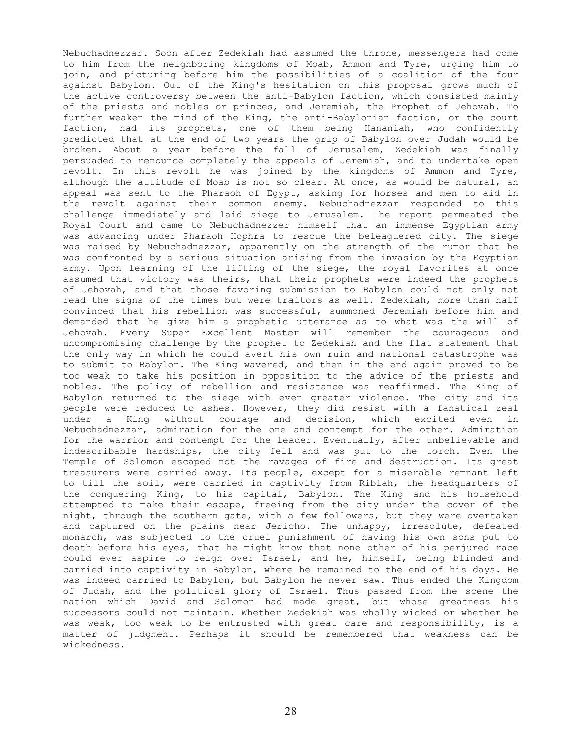Nebuchadnezzar. Soon after Zedekiah had assumed the throne, messengers had come to him from the neighboring kingdoms of Moab, Ammon and Tyre, urging him to join, and picturing before him the possibilities of a coalition of the four against Babylon. Out of the King's hesitation on this proposal grows much of the active controversy between the anti-Babylon faction, which consisted mainly of the priests and nobles or princes, and Jeremiah, the Prophet of Jehovah. To further weaken the mind of the King, the anti-Babylonian faction, or the court faction, had its prophets, one of them being Hananiah, who confidently predicted that at the end of two years the grip of Babylon over Judah would be broken. About a year before the fall of Jerusalem, Zedekiah was finally persuaded to renounce completely the appeals of Jeremiah, and to undertake open revolt. In this revolt he was joined by the kingdoms of Ammon and Tyre, although the attitude of Moab is not so clear. At once, as would be natural, an appeal was sent to the Pharaoh of Egypt, asking for horses and men to aid in the revolt against their common enemy. Nebuchadnezzar responded to this challenge immediately and laid siege to Jerusalem. The report permeated the Royal Court and came to Nebuchadnezzer himself that an immense Egyptian army was advancing under Pharaoh Hophra to rescue the beleaguered city. The siege was raised by Nebuchadnezzar, apparently on the strength of the rumor that he was confronted by a serious situation arising from the invasion by the Egyptian army. Upon learning of the lifting of the siege, the royal favorites at once assumed that victory was theirs, that their prophets were indeed the prophets of Jehovah, and that those favoring submission to Babylon could not only not read the signs of the times but were traitors as well. Zedekiah, more than half convinced that his rebellion was successful, summoned Jeremiah before him and demanded that he give him a prophetic utterance as to what was the will of Jehovah. Every Super Excellent Master will remember the courageous and uncompromising challenge by the prophet to Zedekiah and the flat statement that the only way in which he could avert his own ruin and national catastrophe was to submit to Babylon. The King wavered, and then in the end again proved to be too weak to take his position in opposition to the advice of the priests and nobles. The policy of rebellion and resistance was reaffirmed. The King of Babylon returned to the siege with even greater violence. The city and its people were reduced to ashes. However, they did resist with a fanatical zeal under a King without courage and decision, which excited even in Nebuchadnezzar, admiration for the one and contempt for the other. Admiration for the warrior and contempt for the leader. Eventually, after unbelievable and indescribable hardships, the city fell and was put to the torch. Even the Temple of Solomon escaped not the ravages of fire and destruction. Its great treasurers were carried away. Its people, except for a miserable remnant left to till the soil, were carried in captivity from Riblah, the headquarters of the conquering King, to his capital, Babylon. The King and his household attempted to make their escape, freeing from the city under the cover of the night, through the southern gate, with a few followers, but they were overtaken and captured on the plains near Jericho. The unhappy, irresolute, defeated monarch, was subjected to the cruel punishment of having his own sons put to death before his eyes, that he might know that none other of his perjured race could ever aspire to reign over Israel, and he, himself, being blinded and carried into captivity in Babylon, where he remained to the end of his days. He was indeed carried to Babylon, but Babylon he never saw. Thus ended the Kingdom of Judah, and the political glory of Israel. Thus passed from the scene the nation which David and Solomon had made great, but whose greatness his successors could not maintain. Whether Zedekiah was wholly wicked or whether he was weak, too weak to be entrusted with great care and responsibility, is a matter of judgment. Perhaps it should be remembered that weakness can be wickedness.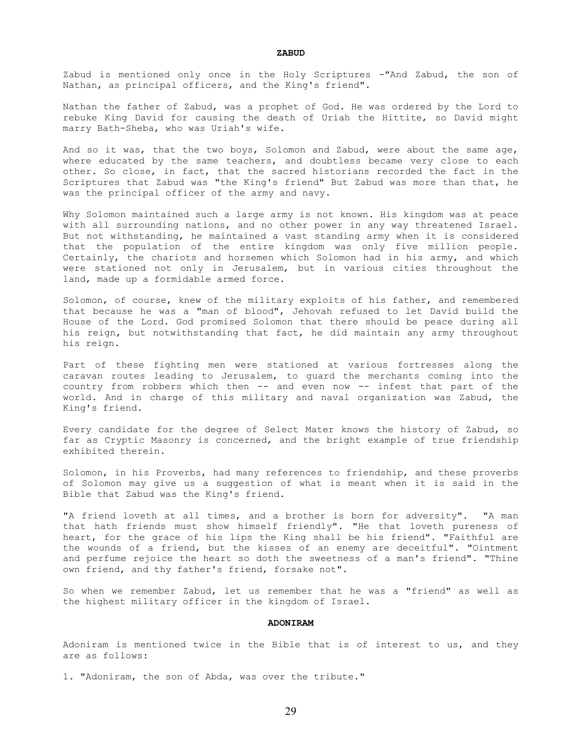Zabud is mentioned only once in the Holy Scriptures -"And Zabud, the son of Nathan, as principal officers, and the King's friend".

Nathan the father of Zabud, was a prophet of God. He was ordered by the Lord to rebuke King David for causing the death of Uriah the Hittite, so David might marry Bath-Sheba, who was Uriah's wife.

And so it was, that the two boys, Solomon and Zabud, were about the same age, where educated by the same teachers, and doubtless became very close to each other. So close, in fact, that the sacred historians recorded the fact in the Scriptures that Zabud was "the King's friend" But Zabud was more than that, he was the principal officer of the army and navy.

Why Solomon maintained such a large army is not known. His kingdom was at peace with all surrounding nations, and no other power in any way threatened Israel. But not withstanding, he maintained a vast standing army when it is considered that the population of the entire kingdom was only five million people. Certainly, the chariots and horsemen which Solomon had in his army, and which were stationed not only in Jerusalem, but in various cities throughout the land, made up a formidable armed force.

Solomon, of course, knew of the military exploits of his father, and remembered that because he was a "man of blood", Jehovah refused to let David build the House of the Lord. God promised Solomon that there should be peace during all his reign, but notwithstanding that fact, he did maintain any army throughout his reign.

Part of these fighting men were stationed at various fortresses along the caravan routes leading to Jerusalem, to guard the merchants coming into the country from robbers which then -- and even now -- infest that part of the world. And in charge of this military and naval organization was Zabud, the King's friend.

Every candidate for the degree of Select Mater knows the history of Zabud, so far as Cryptic Masonry is concerned, and the bright example of true friendship exhibited therein.

Solomon, in his Proverbs, had many references to friendship, and these proverbs of Solomon may give us a suggestion of what is meant when it is said in the Bible that Zabud was the King's friend.

"A friend loveth at all times, and a brother is born for adversity". "A man that hath friends must show himself friendly". "He that loveth pureness of heart, for the grace of his lips the King shall be his friend". "Faithful are the wounds of a friend, but the kisses of an enemy are deceitful". "Ointment and perfume rejoice the heart so doth the sweetness of a man's friend". "Thine own friend, and thy father's friend, forsake not".

So when we remember Zabud, let us remember that he was a "friend" as well as the highest military officer in the kingdom of Israel.

#### **ADONIRAM**

Adoniram is mentioned twice in the Bible that is of interest to us, and they are as follows:

1. "Adoniram, the son of Abda, was over the tribute."

29

#### **ZABUD**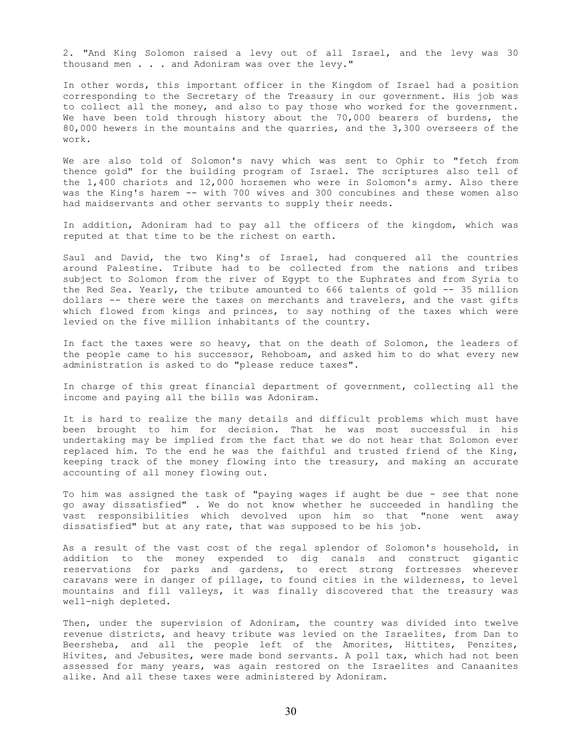2. "And King Solomon raised a levy out of all Israel, and the levy was 30 thousand men . . . and Adoniram was over the levy."

In other words, this important officer in the Kingdom of Israel had a position corresponding to the Secretary of the Treasury in our government. His job was to collect all the money, and also to pay those who worked for the government. We have been told through history about the 70,000 bearers of burdens, the 80,000 hewers in the mountains and the quarries, and the 3,300 overseers of the work.

We are also told of Solomon's navy which was sent to Ophir to "fetch from thence gold" for the building program of Israel. The scriptures also tell of the 1,400 chariots and 12,000 horsemen who were in Solomon's army. Also there was the King's harem -- with 700 wives and 300 concubines and these women also had maidservants and other servants to supply their needs.

In addition, Adoniram had to pay all the officers of the kingdom, which was reputed at that time to be the richest on earth.

Saul and David, the two King's of Israel, had conquered all the countries around Palestine. Tribute had to be collected from the nations and tribes subject to Solomon from the river of Egypt to the Euphrates and from Syria to the Red Sea. Yearly, the tribute amounted to 666 talents of gold -- 35 million dollars -- there were the taxes on merchants and travelers, and the vast gifts which flowed from kings and princes, to say nothing of the taxes which were levied on the five million inhabitants of the country.

In fact the taxes were so heavy, that on the death of Solomon, the leaders of the people came to his successor, Rehoboam, and asked him to do what every new administration is asked to do "please reduce taxes".

In charge of this great financial department of government, collecting all the income and paying all the bills was Adoniram.

It is hard to realize the many details and difficult problems which must have been brought to him for decision. That he was most successful in his undertaking may be implied from the fact that we do not hear that Solomon ever replaced him. To the end he was the faithful and trusted friend of the King, keeping track of the money flowing into the treasury, and making an accurate accounting of all money flowing out.

To him was assigned the task of "paying wages if aught be due - see that none go away dissatisfied" . We do not know whether he succeeded in handling the vast responsibilities which devolved upon him so that "none went away dissatisfied" but at any rate, that was supposed to be his job.

As a result of the vast cost of the regal splendor of Solomon's household, in addition to the money expended to dig canals and construct gigantic reservations for parks and gardens, to erect strong fortresses wherever caravans were in danger of pillage, to found cities in the wilderness, to level mountains and fill valleys, it was finally discovered that the treasury was well-nigh depleted.

Then, under the supervision of Adoniram, the country was divided into twelve revenue districts, and heavy tribute was levied on the Israelites, from Dan to Beersheba, and all the people left of the Amorites, Hittites, Penzites, Hivites, and Jebusites, were made bond servants. A poll tax, which had not been assessed for many years, was again restored on the Israelites and Canaanites alike. And all these taxes were administered by Adoniram.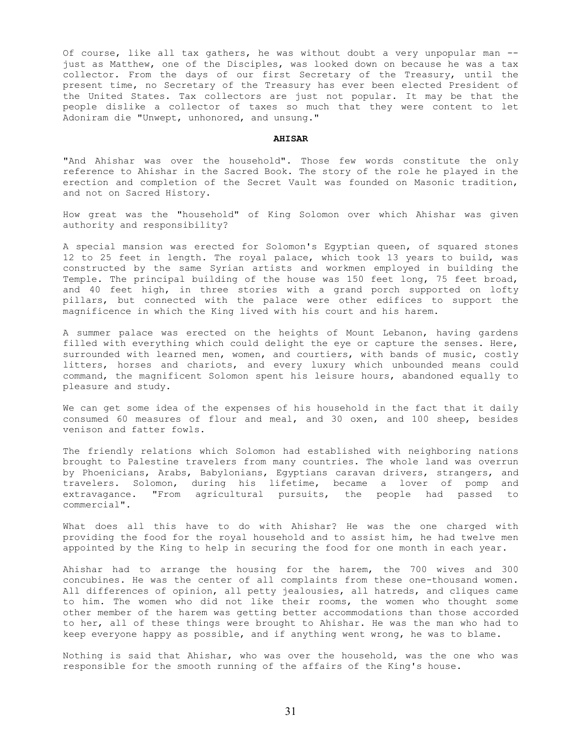Of course, like all tax gathers, he was without doubt a very unpopular man - just as Matthew, one of the Disciples, was looked down on because he was a tax collector. From the days of our first Secretary of the Treasury, until the present time, no Secretary of the Treasury has ever been elected President of the United States. Tax collectors are just not popular. It may be that the people dislike a collector of taxes so much that they were content to let Adoniram die "Unwept, unhonored, and unsung."

#### **AHISAR**

"And Ahishar was over the household". Those few words constitute the only reference to Ahishar in the Sacred Book. The story of the role he played in the erection and completion of the Secret Vault was founded on Masonic tradition, and not on Sacred History.

How great was the "household" of King Solomon over which Ahishar was given authority and responsibility?

A special mansion was erected for Solomon's Egyptian queen, of squared stones 12 to 25 feet in length. The royal palace, which took 13 years to build, was constructed by the same Syrian artists and workmen employed in building the Temple. The principal building of the house was 150 feet long, 75 feet broad, and 40 feet high, in three stories with a grand porch supported on lofty pillars, but connected with the palace were other edifices to support the magnificence in which the King lived with his court and his harem.

A summer palace was erected on the heights of Mount Lebanon, having gardens filled with everything which could delight the eye or capture the senses. Here, surrounded with learned men, women, and courtiers, with bands of music, costly litters, horses and chariots, and every luxury which unbounded means could command, the magnificent Solomon spent his leisure hours, abandoned equally to pleasure and study.

We can get some idea of the expenses of his household in the fact that it daily consumed 60 measures of flour and meal, and 30 oxen, and 100 sheep, besides venison and fatter fowls.

The friendly relations which Solomon had established with neighboring nations brought to Palestine travelers from many countries. The whole land was overrun by Phoenicians, Arabs, Babylonians, Egyptians caravan drivers, strangers, and travelers. Solomon, during his lifetime, became a lover of pomp and extravagance. "From agricultural pursuits, the people had passed to commercial".

What does all this have to do with Ahishar? He was the one charged with providing the food for the royal household and to assist him, he had twelve men appointed by the King to help in securing the food for one month in each year.

Ahishar had to arrange the housing for the harem, the 700 wives and 300 concubines. He was the center of all complaints from these one-thousand women. All differences of opinion, all petty jealousies, all hatreds, and cliques came to him. The women who did not like their rooms, the women who thought some other member of the harem was getting better accommodations than those accorded to her, all of these things were brought to Ahishar. He was the man who had to keep everyone happy as possible, and if anything went wrong, he was to blame.

Nothing is said that Ahishar, who was over the household, was the one who was responsible for the smooth running of the affairs of the King's house.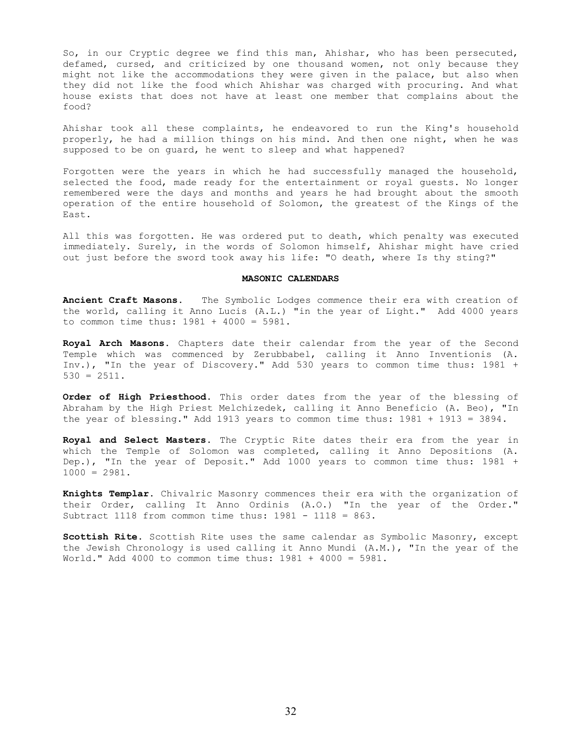So, in our Cryptic degree we find this man, Ahishar, who has been persecuted, defamed, cursed, and criticized by one thousand women, not only because they might not like the accommodations they were given in the palace, but also when they did not like the food which Ahishar was charged with procuring. And what house exists that does not have at least one member that complains about the food?

Ahishar took all these complaints, he endeavored to run the King's household properly, he had a million things on his mind. And then one night, when he was supposed to be on guard, he went to sleep and what happened?

Forgotten were the years in which he had successfully managed the household, selected the food, made ready for the entertainment or royal guests. No longer remembered were the days and months and years he had brought about the smooth operation of the entire household of Solomon, the greatest of the Kings of the East.

All this was forgotten. He was ordered put to death, which penalty was executed immediately. Surely, in the words of Solomon himself, Ahishar might have cried out just before the sword took away his life: "O death, where Is thy sting?"

#### **MASONIC CALENDARS**

**Ancient Craft Masons.** The Symbolic Lodges commence their era with creation of the world, calling it Anno Lucis (A.L.) "in the year of Light." Add 4000 years to common time thus: 1981 + 4000 = 5981.

**Royal Arch Masons.** Chapters date their calendar from the year of the Second Temple which was commenced by Zerubbabel, calling it Anno Inventionis (A. Inv.), "In the year of Discovery." Add 530 years to common time thus: 1981 + 530 = 2511.

**Order of High Priesthood.** This order dates from the year of the blessing of Abraham by the High Priest Melchizedek, calling it Anno Beneficio (A. Beo), "In the year of blessing." Add 1913 years to common time thus: 1981 + 1913 = 3894.

**Royal and Select Masters.** The Cryptic Rite dates their era from the year in which the Temple of Solomon was completed, calling it Anno Depositions (A. Dep.), "In the year of Deposit." Add 1000 years to common time thus: 1981 +  $1000 = 2981.$ 

**Knights Templar.** Chivalric Masonry commences their era with the organization of their Order, calling It Anno Ordinis (A.O.) "In the year of the Order." Subtract 1118 from common time thus: 1981 - 1118 = 863.

**Scottish Rite.** Scottish Rite uses the same calendar as Symbolic Masonry, except the Jewish Chronology is used calling it Anno Mundi (A.M.), "In the year of the World." Add 4000 to common time thus: 1981 + 4000 = 5981.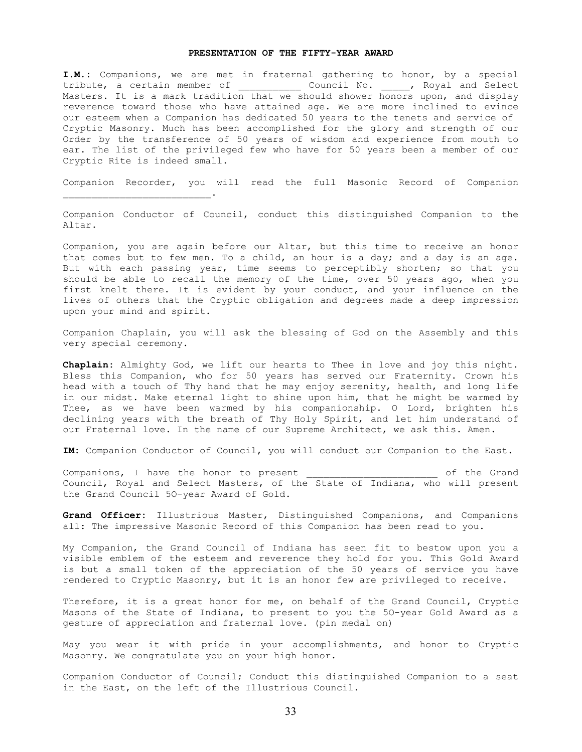### **PRESENTATION OF THE FIFTY-YEAR AWARD**

**I.M.:** Companions, we are met in fraternal gathering to honor, by a special tribute, a certain member of The Council No. The Noyal and Select Masters. It is a mark tradition that we should shower honors upon, and display reverence toward those who have attained age. We are more inclined to evince our esteem when a Companion has dedicated 50 years to the tenets and service of Cryptic Masonry. Much has been accomplished for the glory and strength of our Order by the transference of 50 years of wisdom and experience from mouth to ear. The list of the privileged few who have for 50 years been a member of our Cryptic Rite is indeed small.

Companion Recorder, you will read the full Masonic Record of Companion

 $\mathcal{L}_\text{max}$  and  $\mathcal{L}_\text{max}$  and  $\mathcal{L}_\text{max}$  and  $\mathcal{L}_\text{max}$ 

Companion Conductor of Council, conduct this distinguished Companion to the Altar.

Companion, you are again before our Altar, but this time to receive an honor that comes but to few men. To a child, an hour is a day; and a day is an age. But with each passing year, time seems to perceptibly shorten; so that you should be able to recall the memory of the time, over 50 years ago, when you first knelt there. It is evident by your conduct, and your influence on the lives of others that the Cryptic obligation and degrees made a deep impression upon your mind and spirit.

Companion Chaplain, you will ask the blessing of God on the Assembly and this very special ceremony.

**Chaplain:** Almighty God, we lift our hearts to Thee in love and joy this night. Bless this Companion, who for 50 years has served our Fraternity. Crown his head with a touch of Thy hand that he may enjoy serenity, health, and long life in our midst. Make eternal light to shine upon him, that he might be warmed by Thee, as we have been warmed by his companionship. O Lord, brighten his declining years with the breath of Thy Holy Spirit, and let him understand of our Fraternal love. In the name of our Supreme Architect, we ask this. Amen.

**IM:** Companion Conductor of Council, you will conduct our Companion to the East.

Companions, I have the honor to present the stand of the Grand Council, Royal and Select Masters, of the State of Indiana, who will present the Grand Council 5O-year Award of Gold.

**Grand Officer:** Illustrious Master, Distinguished Companions, and Companions all: The impressive Masonic Record of this Companion has been read to you.

My Companion, the Grand Council of Indiana has seen fit to bestow upon you a visible emblem of the esteem and reverence they hold for you. This Gold Award is but a small token of the appreciation of the 50 years of service you have rendered to Cryptic Masonry, but it is an honor few are privileged to receive.

Therefore, it is a great honor for me, on behalf of the Grand Council, Cryptic Masons of the State of Indiana, to present to you the 5O-year Gold Award as a gesture of appreciation and fraternal love. (pin medal on)

May you wear it with pride in your accomplishments, and honor to Cryptic Masonry. We congratulate you on your high honor.

Companion Conductor of Council; Conduct this distinguished Companion to a seat in the East, on the left of the Illustrious Council.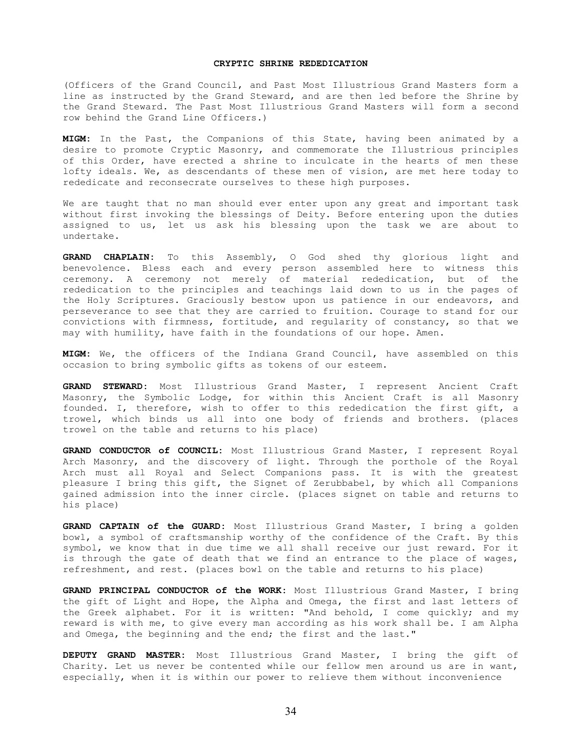# **CRYPTIC SHRINE REDEDICATION**

(Officers of the Grand Council, and Past Most Illustrious Grand Masters form a line as instructed by the Grand Steward, and are then led before the Shrine by the Grand Steward. The Past Most Illustrious Grand Masters will form a second row behind the Grand Line Officers.)

**MIGM:** In the Past, the Companions of this State, having been animated by a desire to promote Cryptic Masonry, and commemorate the Illustrious principles of this Order, have erected a shrine to inculcate in the hearts of men these lofty ideals. We, as descendants of these men of vision, are met here today to rededicate and reconsecrate ourselves to these high purposes.

We are taught that no man should ever enter upon any great and important task without first invoking the blessings of Deity. Before entering upon the duties assigned to us, let us ask his blessing upon the task we are about to undertake.

**GRAND CHAPLAIN:** To this Assembly, O God shed thy glorious light and benevolence. Bless each and every person assembled here to witness this ceremony. A ceremony not merely of material rededication, but of the rededication to the principles and teachings laid down to us in the pages of the Holy Scriptures. Graciously bestow upon us patience in our endeavors, and perseverance to see that they are carried to fruition. Courage to stand for our convictions with firmness, fortitude, and regularity of constancy, so that we may with humility, have faith in the foundations of our hope. Amen.

**MIGM:** We, the officers of the Indiana Grand Council, have assembled on this occasion to bring symbolic gifts as tokens of our esteem.

**GRAND STEWARD:** Most Illustrious Grand Master, I represent Ancient Craft Masonry, the Symbolic Lodge, for within this Ancient Craft is all Masonry founded. I, therefore, wish to offer to this rededication the first gift, a trowel, which binds us all into one body of friends and brothers. (places trowel on the table and returns to his place)

**GRAND CONDUCTOR of COUNCIL:** Most Illustrious Grand Master, I represent Royal Arch Masonry, and the discovery of light. Through the porthole of the Royal Arch must all Royal and Select Companions pass. It is with the greatest pleasure I bring this gift, the Signet of Zerubbabel, by which all Companions gained admission into the inner circle. (places signet on table and returns to his place)

**GRAND CAPTAIN of the GUARD:** Most Illustrious Grand Master, I bring a golden bowl, a symbol of craftsmanship worthy of the confidence of the Craft. By this symbol, we know that in due time we all shall receive our just reward. For it is through the gate of death that we find an entrance to the place of wages, refreshment, and rest. (places bowl on the table and returns to his place)

**GRAND PRINCIPAL CONDUCTOR of the WORK:** Most Illustrious Grand Master, I bring the gift of Light and Hope, the Alpha and Omega, the first and last letters of the Greek alphabet. For it is written: "And behold, I come quickly; and my reward is with me, to give every man according as his work shall be. I am Alpha and Omega, the beginning and the end; the first and the last."

**DEPUTY GRAND MASTER:** Most Illustrious Grand Master, I bring the gift of Charity. Let us never be contented while our fellow men around us are in want, especially, when it is within our power to relieve them without inconvenience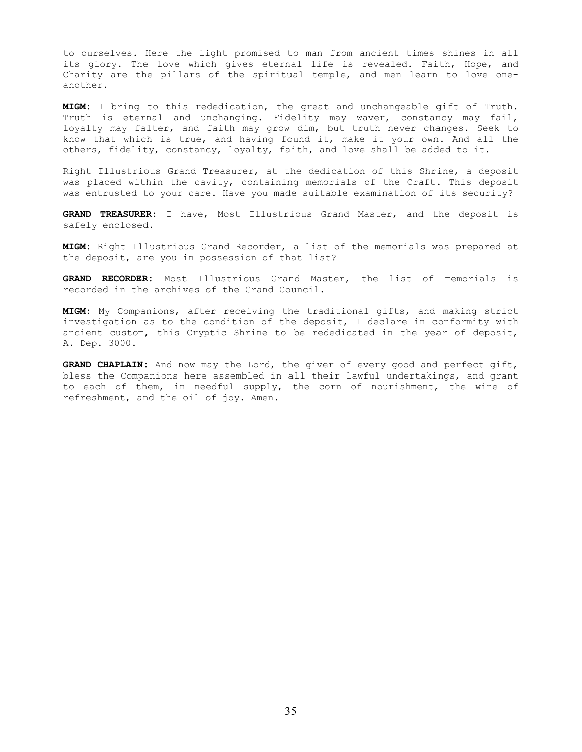to ourselves. Here the light promised to man from ancient times shines in all its glory. The love which gives eternal life is revealed. Faith, Hope, and Charity are the pillars of the spiritual temple, and men learn to love oneanother.

**MIGM:** I bring to this rededication, the great and unchangeable gift of Truth. Truth is eternal and unchanging. Fidelity may waver, constancy may fail, loyalty may falter, and faith may grow dim, but truth never changes. Seek to know that which is true, and having found it, make it your own. And all the others, fidelity, constancy, loyalty, faith, and love shall be added to it.

Right Illustrious Grand Treasurer, at the dedication of this Shrine, a deposit was placed within the cavity, containing memorials of the Craft. This deposit was entrusted to your care. Have you made suitable examination of its security?

**GRAND TREASURER:** I have, Most Illustrious Grand Master, and the deposit is safely enclosed.

**MIGM:** Right Illustrious Grand Recorder, a list of the memorials was prepared at the deposit, are you in possession of that list?

**GRAND RECORDER:** Most Illustrious Grand Master, the list of memorials is recorded in the archives of the Grand Council.

**MIGM:** My Companions, after receiving the traditional gifts, and making strict investigation as to the condition of the deposit, I declare in conformity with ancient custom, this Cryptic Shrine to be rededicated in the year of deposit, A. Dep. 3000.

**GRAND CHAPLAIN:** And now may the Lord, the giver of every good and perfect gift, bless the Companions here assembled in all their lawful undertakings, and grant to each of them, in needful supply, the corn of nourishment, the wine of refreshment, and the oil of joy. Amen.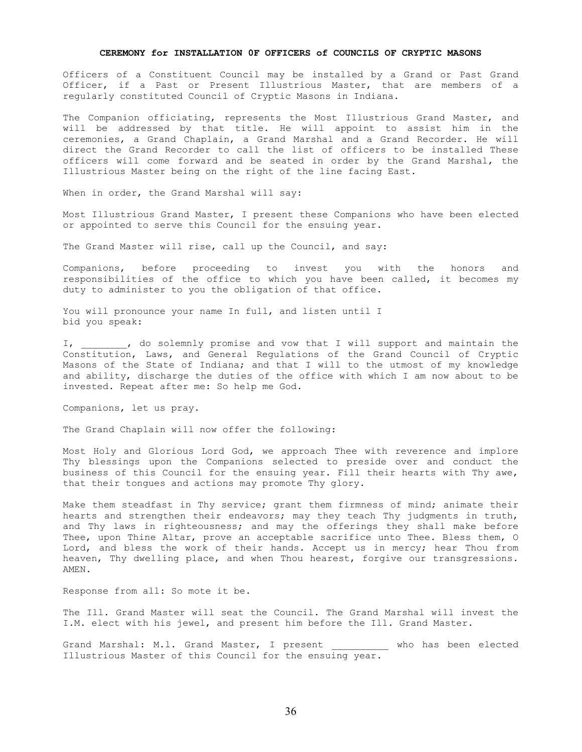### **CEREMONY for INSTALLATION 0F OFFICERS of COUNCILS OF CRYPTIC MASONS**

Officers of a Constituent Council may be installed by a Grand or Past Grand Officer, if a Past or Present Illustrious Master, that are members of a regularly constituted Council of Cryptic Masons in Indiana.

The Companion officiating, represents the Most Illustrious Grand Master, and will be addressed by that title. He will appoint to assist him in the ceremonies, a Grand Chaplain, a Grand Marshal and a Grand Recorder. He will direct the Grand Recorder to call the list of officers to be installed These officers will come forward and be seated in order by the Grand Marshal, the Illustrious Master being on the right of the line facing East.

When in order, the Grand Marshal will say:

Most Illustrious Grand Master, I present these Companions who have been elected or appointed to serve this Council for the ensuing year.

The Grand Master will rise, call up the Council, and say:

Companions, before proceeding to invest you with the honors and responsibilities of the office to which you have been called, it becomes my duty to administer to you the obligation of that office.

You will pronounce your name In full, and listen until I bid you speak:

I, \_\_\_\_\_\_\_, do solemnly promise and vow that I will support and maintain the Constitution, Laws, and General Regulations of the Grand Council of Cryptic Masons of the State of Indiana; and that I will to the utmost of my knowledge and ability, discharge the duties of the office with which I am now about to be invested. Repeat after me: So help me God.

Companions, let us pray.

The Grand Chaplain will now offer the following:

Most Holy and Glorious Lord God, we approach Thee with reverence and implore Thy blessings upon the Companions selected to preside over and conduct the business of this Council for the ensuing year. Fill their hearts with Thy awe, that their tongues and actions may promote Thy glory.

Make them steadfast in Thy service; grant them firmness of mind; animate their hearts and strengthen their endeavors; may they teach Thy judgments in truth, and Thy laws in righteousness; and may the offerings they shall make before Thee, upon Thine Altar, prove an acceptable sacrifice unto Thee. Bless them, O Lord, and bless the work of their hands. Accept us in mercy; hear Thou from heaven, Thy dwelling place, and when Thou hearest, forgive our transgressions. AMEN.

Response from all: So mote it be.

The Ill. Grand Master will seat the Council. The Grand Marshal will invest the I.M. elect with his jewel, and present him before the Ill. Grand Master.

Grand Marshal: M.l. Grand Master, I present \_\_\_\_\_\_\_\_\_\_\_ who has been elected Illustrious Master of this Council for the ensuing year.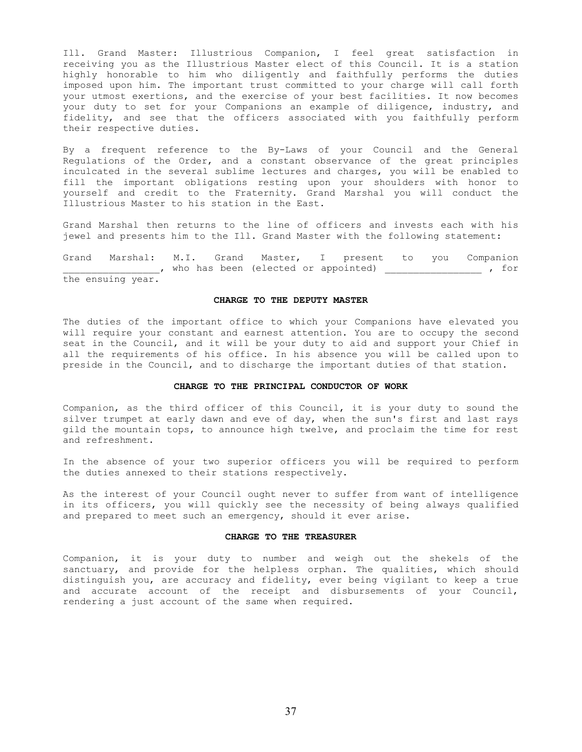Ill. Grand Master: Illustrious Companion, I feel great satisfaction in receiving you as the Illustrious Master elect of this Council. It is a station highly honorable to him who diligently and faithfully performs the duties imposed upon him. The important trust committed to your charge will call forth your utmost exertions, and the exercise of your best facilities. It now becomes your duty to set for your Companions an example of diligence, industry, and fidelity, and see that the officers associated with you faithfully perform their respective duties.

By a frequent reference to the By-Laws of your Council and the General Regulations of the Order, and a constant observance of the great principles inculcated in the several sublime lectures and charges, you will be enabled to fill the important obligations resting upon your shoulders with honor to yourself and credit to the Fraternity. Grand Marshal you will conduct the Illustrious Master to his station in the East.

Grand Marshal then returns to the line of officers and invests each with his jewel and presents him to the Ill. Grand Master with the following statement:

Grand Marshal: M.I. Grand Master, I present to you Companion \_\_\_\_\_\_\_\_\_\_\_\_, who has been (elected or appointed) \_\_\_\_\_\_\_\_\_\_\_\_\_\_\_\_\_\_\_\_\_\_\_, for the ensuing year.

### **CHARGE TO THE DEPUTY MASTER**

The duties of the important office to which your Companions have elevated you will require your constant and earnest attention. You are to occupy the second seat in the Council, and it will be your duty to aid and support your Chief in all the requirements of his office. In his absence you will be called upon to preside in the Council, and to discharge the important duties of that station.

### **CHARGE TO THE PRINCIPAL CONDUCTOR OF WORK**

Companion, as the third officer of this Council, it is your duty to sound the silver trumpet at early dawn and eve of day, when the sun's first and last rays gild the mountain tops, to announce high twelve, and proclaim the time for rest and refreshment.

In the absence of your two superior officers you will be required to perform the duties annexed to their stations respectively.

As the interest of your Council ought never to suffer from want of intelligence in its officers, you will quickly see the necessity of being always qualified and prepared to meet such an emergency, should it ever arise.

#### **CHARGE TO THE TREASURER**

Companion, it is your duty to number and weigh out the shekels of the sanctuary, and provide for the helpless orphan. The qualities, which should distinguish you, are accuracy and fidelity, ever being vigilant to keep a true and accurate account of the receipt and disbursements of your Council, rendering a just account of the same when required.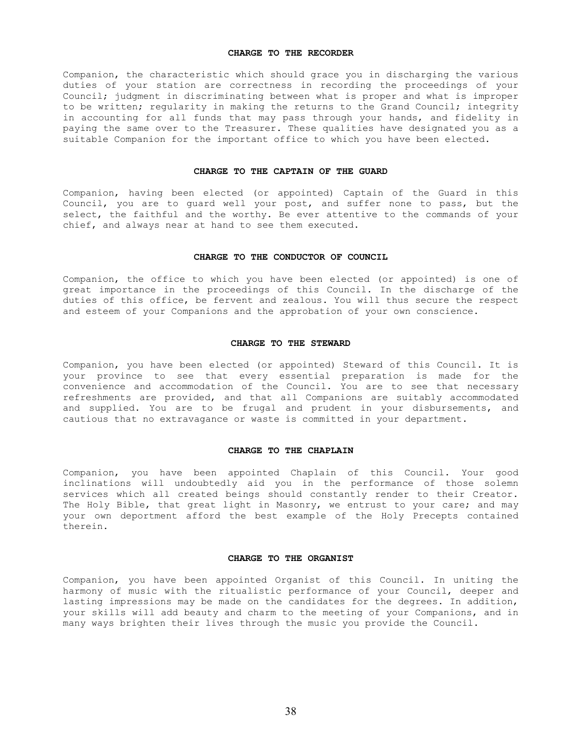## **CHARGE TO THE RECORDER**

Companion, the characteristic which should grace you in discharging the various duties of your station are correctness in recording the proceedings of your Council; judgment in discriminating between what is proper and what is improper to be written; regularity in making the returns to the Grand Council; integrity in accounting for all funds that may pass through your hands, and fidelity in paying the same over to the Treasurer. These qualities have designated you as a suitable Companion for the important office to which you have been elected.

# **CHARGE TO THE CAPTAIN OF THE GUARD**

Companion, having been elected (or appointed) Captain of the Guard in this Council, you are to guard well your post, and suffer none to pass, but the select, the faithful and the worthy. Be ever attentive to the commands of your chief, and always near at hand to see them executed.

# **CHARGE TO THE CONDUCTOR OF COUNCIL**

Companion, the office to which you have been elected (or appointed) is one of great importance in the proceedings of this Council. In the discharge of the duties of this office, be fervent and zealous. You will thus secure the respect and esteem of your Companions and the approbation of your own conscience.

# **CHARGE TO THE STEWARD**

Companion, you have been elected (or appointed) Steward of this Council. It is your province to see that every essential preparation is made for the convenience and accommodation of the Council. You are to see that necessary refreshments are provided, and that all Companions are suitably accommodated and supplied. You are to be frugal and prudent in your disbursements, and cautious that no extravagance or waste is committed in your department.

### **CHARGE TO THE CHAPLAIN**

Companion, you have been appointed Chaplain of this Council. Your good inclinations will undoubtedly aid you in the performance of those solemn services which all created beings should constantly render to their Creator. The Holy Bible, that great light in Masonry, we entrust to your care; and may your own deportment afford the best example of the Holy Precepts contained therein.

#### **CHARGE TO THE ORGANIST**

Companion, you have been appointed Organist of this Council. In uniting the harmony of music with the ritualistic performance of your Council, deeper and lasting impressions may be made on the candidates for the degrees. In addition, your skills will add beauty and charm to the meeting of your Companions, and in many ways brighten their lives through the music you provide the Council.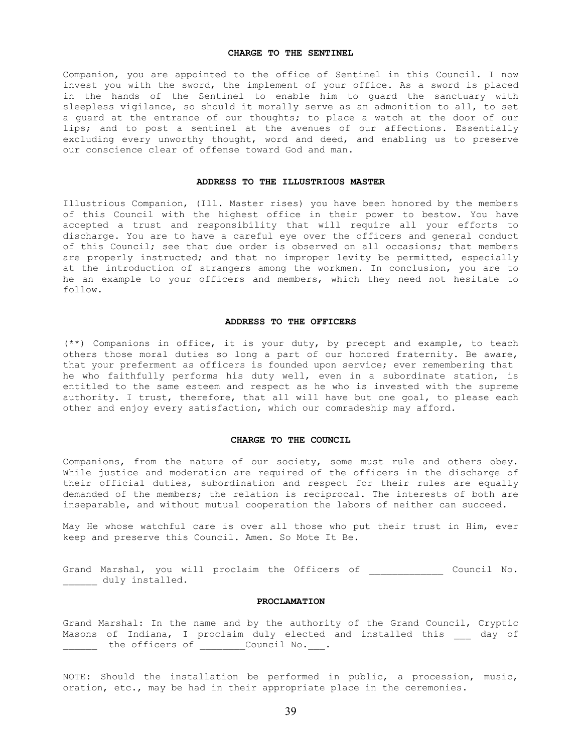# **CHARGE TO THE SENTINEL**

Companion, you are appointed to the office of Sentinel in this Council. I now invest you with the sword, the implement of your office. As a sword is placed in the hands of the Sentinel to enable him to guard the sanctuary with sleepless vigilance, so should it morally serve as an admonition to all, to set a guard at the entrance of our thoughts; to place a watch at the door of our lips; and to post a sentinel at the avenues of our affections. Essentially excluding every unworthy thought, word and deed, and enabling us to preserve our conscience clear of offense toward God and man.

# **ADDRESS TO THE ILLUSTRIOUS MASTER**

Illustrious Companion, (Ill. Master rises) you have been honored by the members of this Council with the highest office in their power to bestow. You have accepted a trust and responsibility that will require all your efforts to discharge. You are to have a careful eye over the officers and general conduct of this Council; see that due order is observed on all occasions; that members are properly instructed; and that no improper levity be permitted, especially at the introduction of strangers among the workmen. In conclusion, you are to he an example to your officers and members, which they need not hesitate to follow.

### **ADDRESS TO THE OFFICERS**

(\*\*) Companions in office, it is your duty, by precept and example, to teach others those moral duties so long a part of our honored fraternity. Be aware, that your preferment as officers is founded upon service; ever remembering that he who faithfully performs his duty well, even in a subordinate station, is entitled to the same esteem and respect as he who is invested with the supreme authority. I trust, therefore, that all will have but one goal, to please each other and enjoy every satisfaction, which our comradeship may afford.

# **CHARGE TO THE COUNCIL**

Companions, from the nature of our society, some must rule and others obey. While justice and moderation are required of the officers in the discharge of their official duties, subordination and respect for their rules are equally demanded of the members; the relation is reciprocal. The interests of both are inseparable, and without mutual cooperation the labors of neither can succeed.

May He whose watchful care is over all those who put their trust in Him, ever keep and preserve this Council. Amen. So Mote It Be.

Grand Marshal, you will proclaim the Officers of \_\_\_\_\_\_\_\_\_\_\_\_\_\_ Council No. duly installed.

# **PROCLAMATION**

Grand Marshal: In the name and by the authority of the Grand Council, Cryptic Masons of Indiana, I proclaim duly elected and installed this and day of \_\_\_\_\_\_ the officers of \_\_\_\_\_\_\_\_Council No.\_\_\_.

NOTE: Should the installation be performed in public, a procession, music, oration, etc., may be had in their appropriate place in the ceremonies.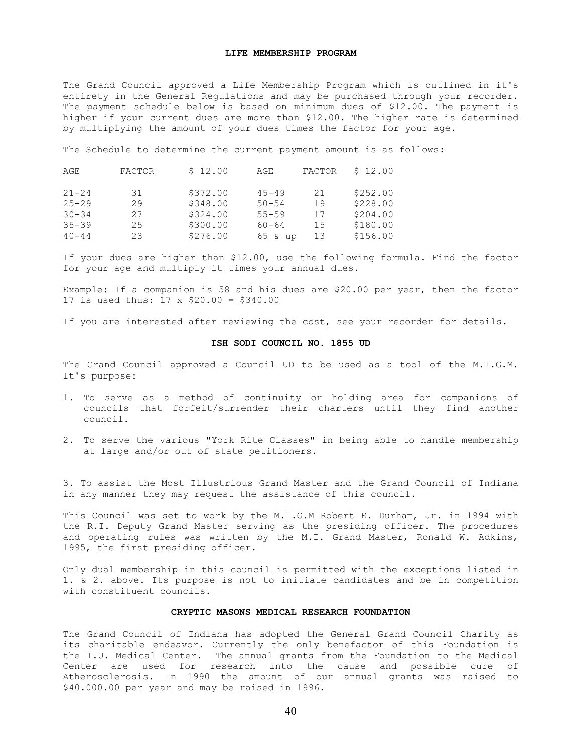# **LIFE MEMBERSHIP PROGRAM**

The Grand Council approved a Life Membership Program which is outlined in it's entirety in the General Regulations and may be purchased through your recorder. The payment schedule below is based on minimum dues of \$12.00. The payment is higher if your current dues are more than \$12.00. The higher rate is determined by multiplying the amount of your dues times the factor for your age.

The Schedule to determine the current payment amount is as follows:

| AGE       | <b>FACTOR</b> | \$12.00  | AGE       | <b>FACTOR</b> | \$12.00  |
|-----------|---------------|----------|-----------|---------------|----------|
| $21 - 24$ | 31            | \$372.00 | $45 - 49$ | 21            | \$252.00 |
| $25 - 29$ | 29            | \$348.00 | $50 - 54$ | 19            | \$228.00 |
| $30 - 34$ | 27            | \$324.00 | $55 - 59$ | 17            | \$204.00 |
| $35 - 39$ | 25            | \$300.00 | $60 - 64$ | 15            | \$180.00 |
| $40 - 44$ | 23            | \$276.00 | 65 & up   | 13            | \$156.00 |

If your dues are higher than \$12.00, use the following formula. Find the factor for your age and multiply it times your annual dues.

Example: If a companion is 58 and his dues are \$20.00 per year, then the factor 17 is used thus: 17 x \$20.00 = \$340.00

If you are interested after reviewing the cost, see your recorder for details.

# **ISH SODI COUNCIL NO. 1855 UD**

The Grand Council approved a Council UD to be used as a tool of the M.I.G.M. It's purpose:

- 1. To serve as a method of continuity or holding area for companions of councils that forfeit/surrender their charters until they find another council.
- 2. To serve the various "York Rite Classes" in being able to handle membership at large and/or out of state petitioners.

3. To assist the Most Illustrious Grand Master and the Grand Council of Indiana in any manner they may request the assistance of this council.

This Council was set to work by the M.I.G.M Robert E. Durham, Jr. in 1994 with the R.I. Deputy Grand Master serving as the presiding officer. The procedures and operating rules was written by the M.I. Grand Master, Ronald W. Adkins, 1995, the first presiding officer.

Only dual membership in this council is permitted with the exceptions listed in 1. & 2. above. Its purpose is not to initiate candidates and be in competition with constituent councils.

# **CRYPTIC MASONS MEDICAL RESEARCH FOUNDATION**

The Grand Council of Indiana has adopted the General Grand Council Charity as its charitable endeavor. Currently the only benefactor of this Foundation is the I.U. Medical Center. The annual grants from the Foundation to the Medical Center are used for research into the cause and possible cure of Atherosclerosis. In 1990 the amount of our annual grants was raised to \$40.000.00 per year and may be raised in 1996.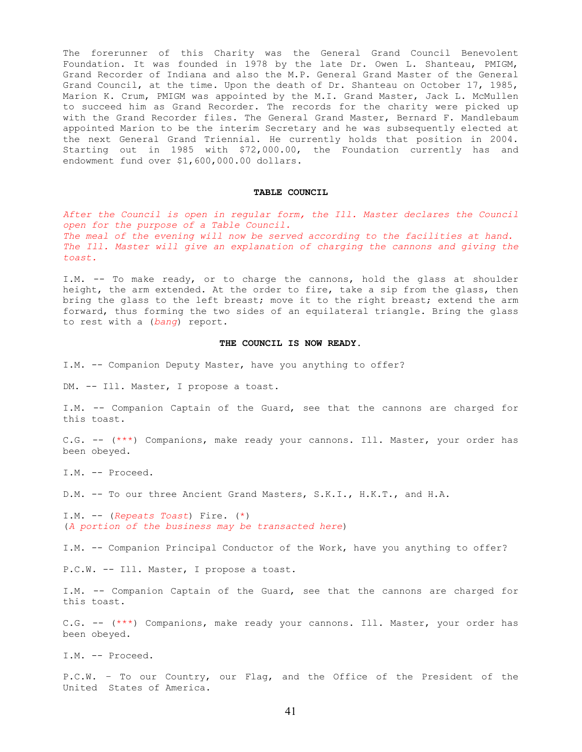The forerunner of this Charity was the General Grand Council Benevolent Foundation. It was founded in 1978 by the late Dr. Owen L. Shanteau, PMIGM, Grand Recorder of Indiana and also the M.P. General Grand Master of the General Grand Council, at the time. Upon the death of Dr. Shanteau on October 17, 1985, Marion K. Crum, PMIGM was appointed by the M.I. Grand Master, Jack L. McMullen to succeed him as Grand Recorder. The records for the charity were picked up with the Grand Recorder files. The General Grand Master, Bernard F. Mandlebaum appointed Marion to be the interim Secretary and he was subsequently elected at the next General Grand Triennial. He currently holds that position in 2004. Starting out in 1985 with \$72,000.00, the Foundation currently has and endowment fund over \$1,600,000.00 dollars.

# **TABLE COUNCIL**

*After the Council is open in regular form, the Ill. Master declares the Council open for the purpose of a Table Council. The meal of the evening will now be served according to the facilities at hand. The Ill. Master will give an explanation of charging the cannons and giving the toast.* 

I.M. -- To make ready, or to charge the cannons, hold the glass at shoulder height, the arm extended. At the order to fire, take a sip from the glass, then bring the glass to the left breast; move it to the right breast; extend the arm forward, thus forming the two sides of an equilateral triangle. Bring the glass to rest with a (*bang*) report.

# **THE COUNCIL IS NOW READY.**

I.M. -- Companion Deputy Master, have you anything to offer?

DM. -- Ill. Master, I propose a toast.

I.M. -- Companion Captain of the Guard, see that the cannons are charged for this toast.

C.G. -- (\*\*\*) Companions, make ready your cannons. Ill. Master, your order has been obeyed.

I.M. -- Proceed.

D.M. -- To our three Ancient Grand Masters, S.K.I., H.K.T., and H.A.

I.M. -- (*Repeats Toast*) Fire. (\*) (*A portion of the business may be transacted here*)

I.M. -- Companion Principal Conductor of the Work, have you anything to offer?

P.C.W. -- Ill. Master, I propose a toast.

I.M. -- Companion Captain of the Guard, see that the cannons are charged for this toast.

C.G. -- (\*\*\*) Companions, make ready your cannons. Ill. Master, your order has been obeyed.

I.M. -- Proceed.

P.C.W. – To our Country, our Flag, and the Office of the President of the United States of America.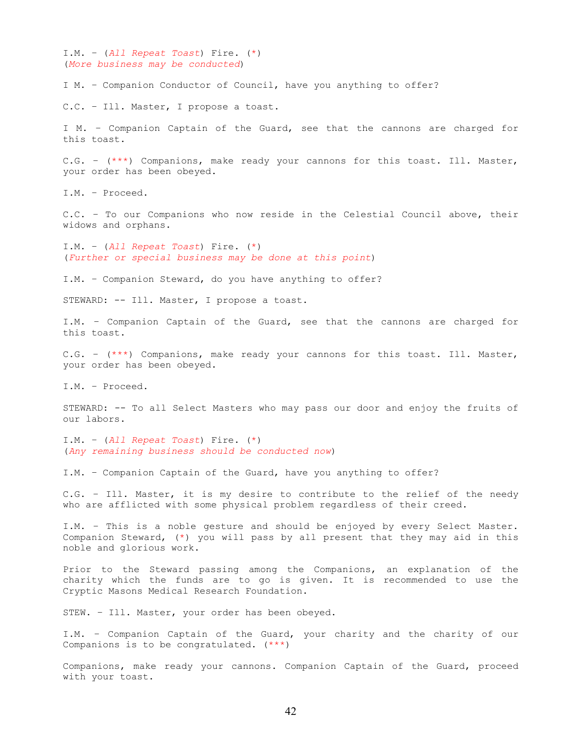I.M. – (*All Repeat Toast*) Fire. (\*) (*More business may be conducted*)

I M. – Companion Conductor of Council, have you anything to offer?

C.C. – Ill. Master, I propose a toast.

I M. – Companion Captain of the Guard, see that the cannons are charged for this toast.

C.G. – (\*\*\*) Companions, make ready your cannons for this toast. Ill. Master, your order has been obeyed.

I.M. – Proceed.

C.C. – To our Companions who now reside in the Celestial Council above, their widows and orphans.

I.M. – (*All Repeat Toast*) Fire. (\*) (*Further or special business may be done at this point*)

I.M. – Companion Steward, do you have anything to offer?

STEWARD: -- Ill. Master, I propose a toast.

I.M. – Companion Captain of the Guard, see that the cannons are charged for this toast.

C.G. – (\*\*\*) Companions, make ready your cannons for this toast. Ill. Master, your order has been obeyed.

I.M. – Proceed.

STEWARD: -- To all Select Masters who may pass our door and enjoy the fruits of our labors.

I.M. – (*All Repeat Toast*) Fire. (\*) (*Any remaining business should be conducted now*)

I.M. – Companion Captain of the Guard, have you anything to offer?

C.G. – Ill. Master, it is my desire to contribute to the relief of the needy who are afflicted with some physical problem regardless of their creed.

I.M. – This is a noble gesture and should be enjoyed by every Select Master. Companion Steward, (\*) you will pass by all present that they may aid in this noble and glorious work.

Prior to the Steward passing among the Companions, an explanation of the charity which the funds are to go is given. It is recommended to use the Cryptic Masons Medical Research Foundation.

STEW. – Ill. Master, your order has been obeyed.

I.M. – Companion Captain of the Guard, your charity and the charity of our Companions is to be congratulated. (\*\*\*)

Companions, make ready your cannons. Companion Captain of the Guard, proceed with your toast.

42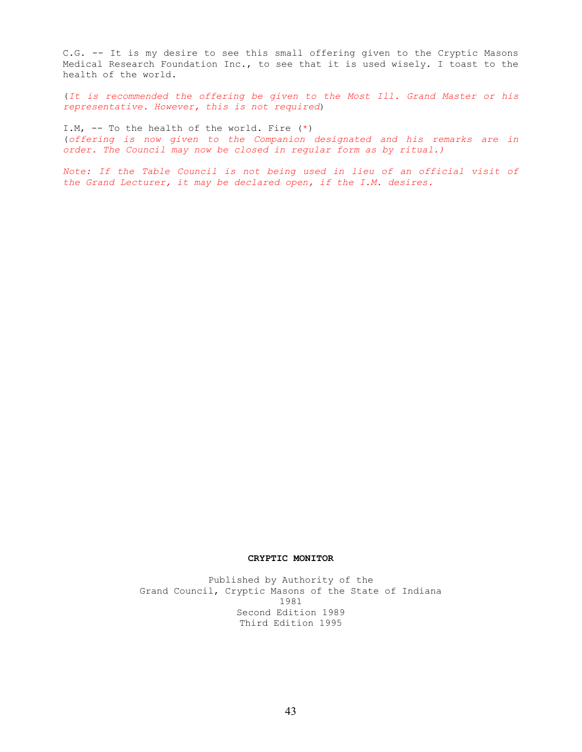C.G. -- It is my desire to see this small offering given to the Cryptic Masons Medical Research Foundation Inc., to see that it is used wisely. I toast to the health of the world.

(*It is recommended the offering be given to the Most Ill. Grand Master or his representative. However, this is not required*)

I.M, -- To the health of the world. Fire (\*) (*offering is now given to the Companion designated and his remarks are in order. The Council may now be closed in regular form as by ritual.)*

*Note: If the Table Council is not being used in lieu of an official visit of the Grand Lecturer, it may be declared open, if the I.M. desires.* 

# **CRYPTIC MONITOR**

Published by Authority of the Grand Council, Cryptic Masons of the State of Indiana 1981 Second Edition 1989 Third Edition 1995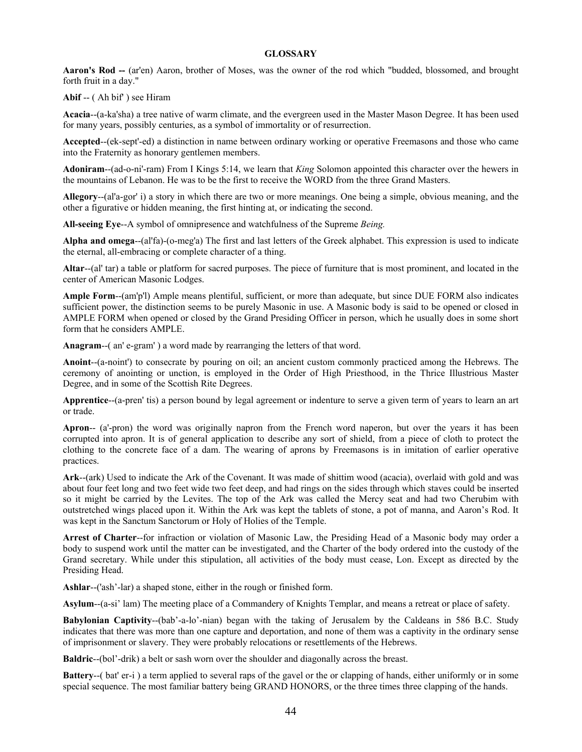# **GLOSSARY**

**Aaron's Rod --** (ar'en) Aaron, brother of Moses, was the owner of the rod which "budded, blossomed, and brought forth fruit in a day."

**Abif** -- (Ah bif') see Hiram

**Acacia**--(a-ka'sha) a tree native of warm climate, and the evergreen used in the Master Mason Degree. It has been used for many years, possibly centuries, as a symbol of immortality or of resurrection.

**Accepted**--(ek-sept'-ed) a distinction in name between ordinary working or operative Freemasons and those who came into the Fraternity as honorary gentlemen members.

**Adoniram**--(ad-o-ni'-ram) From I Kings 5:14, we learn that *King* Solomon appointed this character over the hewers in the mountains of Lebanon. He was to be the first to receive the WORD from the three Grand Masters.

**Allegory**--(al'a-gor' i) a story in which there are two or more meanings. One being a simple, obvious meaning, and the other a figurative or hidden meaning, the first hinting at, or indicating the second.

**All-seeing Eye**--A symbol of omnipresence and watchfulness of the Supreme *Being.* 

**Alpha and omega**--(al'fa)-(o-meg'a) The first and last letters of the Greek alphabet. This expression is used to indicate the eternal, all-embracing or complete character of a thing.

**Altar**--(al' tar) a table or platform for sacred purposes. The piece of furniture that is most prominent, and located in the center of American Masonic Lodges.

**Ample Form**--(am'p'l) Ample means plentiful, sufficient, or more than adequate, but since DUE FORM also indicates sufficient power, the distinction seems to be purely Masonic in use. A Masonic body is said to be opened or closed in AMPLE FORM when opened or closed by the Grand Presiding Officer in person, which he usually does in some short form that he considers AMPLE.

**Anagram**--( an' e-gram' ) a word made by rearranging the letters of that word.

**Anoint**--(a-noint') to consecrate by pouring on oil; an ancient custom commonly practiced among the Hebrews. The ceremony of anointing or unction, is employed in the Order of High Priesthood, in the Thrice Illustrious Master Degree, and in some of the Scottish Rite Degrees.

**Apprentice**--(a-pren' tis) a person bound by legal agreement or indenture to serve a given term of years to learn an art or trade.

**Apron**-- (a'-pron) the word was originally napron from the French word naperon, but over the years it has been corrupted into apron. It is of general application to describe any sort of shield, from a piece of cloth to protect the clothing to the concrete face of a dam. The wearing of aprons by Freemasons is in imitation of earlier operative practices.

**Ark**--(ark) Used to indicate the Ark of the Covenant. It was made of shittim wood (acacia), overlaid with gold and was about four feet long and two feet wide two feet deep, and had rings on the sides through which staves could be inserted so it might be carried by the Levites. The top of the Ark was called the Mercy seat and had two Cherubim with outstretched wings placed upon it. Within the Ark was kept the tablets of stone, a pot of manna, and Aaron's Rod. It was kept in the Sanctum Sanctorum or Holy of Holies of the Temple.

**Arrest of Charter**--for infraction or violation of Masonic Law, the Presiding Head of a Masonic body may order a body to suspend work until the matter can be investigated, and the Charter of the body ordered into the custody of the Grand secretary. While under this stipulation, all activities of the body must cease, Lon. Except as directed by the Presiding Head.

**Ashlar**--('ash'-lar) a shaped stone, either in the rough or finished form.

**Asylum**--(a-si' lam) The meeting place of a Commandery of Knights Templar, and means a retreat or place of safety.

**Babylonian Captivity**--(bab'-a-lo'-nian) began with the taking of Jerusalem by the Caldeans in 586 B.C. Study indicates that there was more than one capture and deportation, and none of them was a captivity in the ordinary sense of imprisonment or slavery. They were probably relocations or resettlements of the Hebrews.

**Baldric**--(bol'-drik) a belt or sash worn over the shoulder and diagonally across the breast.

**Battery--**(bat' er-i) a term applied to several raps of the gavel or the or clapping of hands, either uniformly or in some special sequence. The most familiar battery being GRAND HONORS, or the three times three clapping of the hands.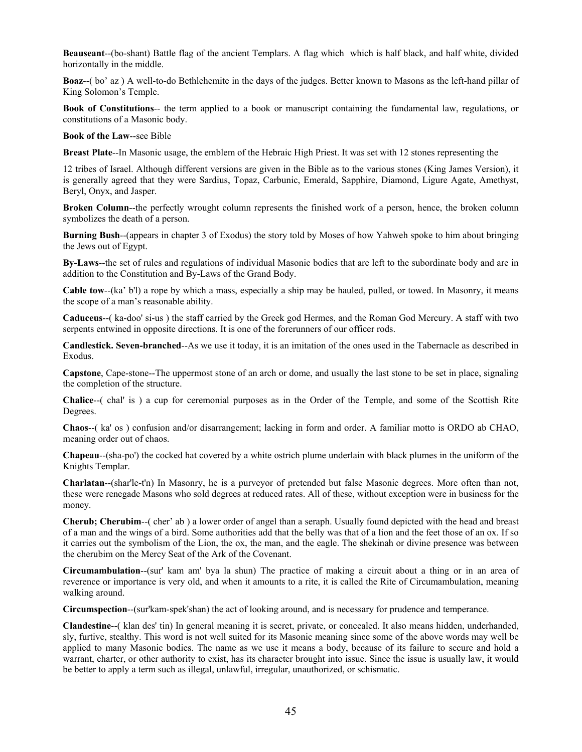**Beauseant**--(bo-shant) Battle flag of the ancient Templars. A flag which which is half black, and half white, divided horizontally in the middle.

**Boaz**--( bo' az ) A well-to-do Bethlehemite in the days of the judges. Better known to Masons as the left-hand pillar of King Solomon's Temple.

**Book of Constitutions**-- the term applied to a book or manuscript containing the fundamental law, regulations, or constitutions of a Masonic body.

**Book of the Law**--see Bible

**Breast Plate**--In Masonic usage, the emblem of the Hebraic High Priest. It was set with 12 stones representing the

12 tribes of Israel. Although different versions are given in the Bible as to the various stones (King James Version), it is generally agreed that they were Sardius, Topaz, Carbunic, Emerald, Sapphire, Diamond, Ligure Agate, Amethyst, Beryl, Onyx, and Jasper.

**Broken Column**--the perfectly wrought column represents the finished work of a person, hence, the broken column symbolizes the death of a person.

**Burning Bush**--(appears in chapter 3 of Exodus) the story told by Moses of how Yahweh spoke to him about bringing the Jews out of Egypt.

**By-Laws**--the set of rules and regulations of individual Masonic bodies that are left to the subordinate body and are in addition to the Constitution and By-Laws of the Grand Body.

**Cable tow**--(ka' b'l) a rope by which a mass, especially a ship may be hauled, pulled, or towed. In Masonry, it means the scope of a man's reasonable ability.

**Caduceus**--( ka-doo' si-us ) the staff carried by the Greek god Hermes, and the Roman God Mercury. A staff with two serpents entwined in opposite directions. It is one of the forerunners of our officer rods.

**Candlestick. Seven-branched**--As we use it today, it is an imitation of the ones used in the Tabernacle as described in Exodus.

**Capstone**, Cape-stone--The uppermost stone of an arch or dome, and usually the last stone to be set in place, signaling the completion of the structure.

**Chalice**--( chal' is ) a cup for ceremonial purposes as in the Order of the Temple, and some of the Scottish Rite Degrees.

**Chaos**--( ka' os ) confusion and/or disarrangement; lacking in form and order. A familiar motto is ORDO ab CHAO, meaning order out of chaos.

**Chapeau**--(sha-po') the cocked hat covered by a white ostrich plume underlain with black plumes in the uniform of the Knights Templar.

**Charlatan**--(shar'le-t'n) In Masonry, he is a purveyor of pretended but false Masonic degrees. More often than not, these were renegade Masons who sold degrees at reduced rates. All of these, without exception were in business for the money.

**Cherub; Cherubim**--( cher' ab ) a lower order of angel than a seraph. Usually found depicted with the head and breast of a man and the wings of a bird. Some authorities add that the belly was that of a lion and the feet those of an ox. If so it carries out the symbolism of the Lion, the ox, the man, and the eagle. The shekinah or divine presence was between the cherubim on the Mercy Seat of the Ark of the Covenant.

**Circumambulation**--(sur' kam am' bya la shun) The practice of making a circuit about a thing or in an area of reverence or importance is very old, and when it amounts to a rite, it is called the Rite of Circumambulation, meaning walking around.

**Circumspection**--(sur'kam-spek'shan) the act of looking around, and is necessary for prudence and temperance.

**Clandestine**--( klan des' tin) In general meaning it is secret, private, or concealed. It also means hidden, underhanded, sly, furtive, stealthy. This word is not well suited for its Masonic meaning since some of the above words may well be applied to many Masonic bodies. The name as we use it means a body, because of its failure to secure and hold a warrant, charter, or other authority to exist, has its character brought into issue. Since the issue is usually law, it would be better to apply a term such as illegal, unlawful, irregular, unauthorized, or schismatic.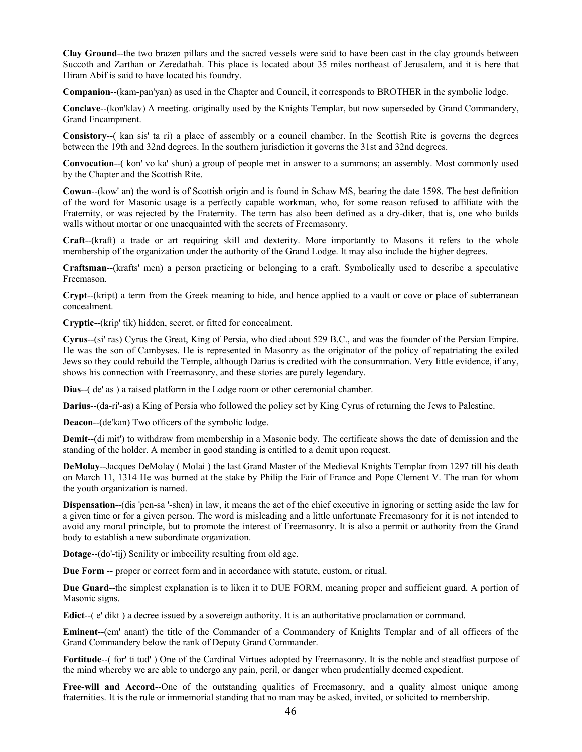**Clay Ground**--the two brazen pillars and the sacred vessels were said to have been cast in the clay grounds between Succoth and Zarthan or Zeredathah. This place is located about 35 miles northeast of Jerusalem, and it is here that Hiram Abif is said to have located his foundry.

**Companion--(kam-pan'yan) as used in the Chapter and Council, it corresponds to BROTHER in the symbolic lodge.** 

**Conclave**--(kon'klav) A meeting. originally used by the Knights Templar, but now superseded by Grand Commandery, Grand Encampment.

**Consistory**--( kan sis' ta ri) a place of assembly or a council chamber. In the Scottish Rite is governs the degrees between the 19th and 32nd degrees. In the southern jurisdiction it governs the 31st and 32nd degrees.

**Convocation**--( kon' vo ka' shun) a group of people met in answer to a summons; an assembly. Most commonly used by the Chapter and the Scottish Rite.

**Cowan**--(kow' an) the word is of Scottish origin and is found in Schaw MS, bearing the date 1598. The best definition of the word for Masonic usage is a perfectly capable workman, who, for some reason refused to affiliate with the Fraternity, or was rejected by the Fraternity. The term has also been defined as a dry-diker, that is, one who builds walls without mortar or one unacquainted with the secrets of Freemasonry.

**Craft**--(kraft) a trade or art requiring skill and dexterity. More importantly to Masons it refers to the whole membership of the organization under the authority of the Grand Lodge. It may also include the higher degrees.

**Craftsman**--(krafts' men) a person practicing or belonging to a craft. Symbolically used to describe a speculative Freemason.

**Crypt**--(kript) a term from the Greek meaning to hide, and hence applied to a vault or cove or place of subterranean concealment.

**Cryptic**--(krip' tik) hidden, secret, or fitted for concealment.

**Cyrus**--(si' ras) Cyrus the Great, King of Persia, who died about 529 B.C., and was the founder of the Persian Empire. He was the son of Cambyses. He is represented in Masonry as the originator of the policy of repatriating the exiled Jews so they could rebuild the Temple, although Darius is credited with the consummation. Very little evidence, if any, shows his connection with Freemasonry, and these stories are purely legendary.

**Dias**--( de' as ) a raised platform in the Lodge room or other ceremonial chamber.

**Darius**--(da-ri'-as) a King of Persia who followed the policy set by King Cyrus of returning the Jews to Palestine.

**Deacon**--(de'kan) Two officers of the symbolic lodge.

**Demit**--(di mit') to withdraw from membership in a Masonic body. The certificate shows the date of demission and the standing of the holder. A member in good standing is entitled to a demit upon request.

**DeMolay**--Jacques DeMolay ( Molai ) the last Grand Master of the Medieval Knights Templar from 1297 till his death on March 11, 1314 He was burned at the stake by Philip the Fair of France and Pope Clement V. The man for whom the youth organization is named.

**Dispensation--**(dis 'pen-sa '-shen) in law, it means the act of the chief executive in ignoring or setting aside the law for a given time or for a given person. The word is misleading and a little unfortunate Freemasonry for it is not intended to avoid any moral principle, but to promote the interest of Freemasonry. It is also a permit or authority from the Grand body to establish a new subordinate organization.

**Dotage**--(do'-tij) Senility or imbecility resulting from old age.

**Due Form** -- proper or correct form and in accordance with statute, custom, or ritual.

**Due Guard**--the simplest explanation is to liken it to DUE FORM, meaning proper and sufficient guard. A portion of Masonic signs.

**Edict**--( e' dikt ) a decree issued by a sovereign authority. It is an authoritative proclamation or command.

**Eminent**--(em' anant) the title of the Commander of a Commandery of Knights Templar and of all officers of the Grand Commandery below the rank of Deputy Grand Commander.

Fortitude--(for' ti tud') One of the Cardinal Virtues adopted by Freemasonry. It is the noble and steadfast purpose of the mind whereby we are able to undergo any pain, peril, or danger when prudentially deemed expedient.

Free-will and Accord--One of the outstanding qualities of Freemasonry, and a quality almost unique among fraternities. It is the rule or immemorial standing that no man may be asked, invited, or solicited to membership.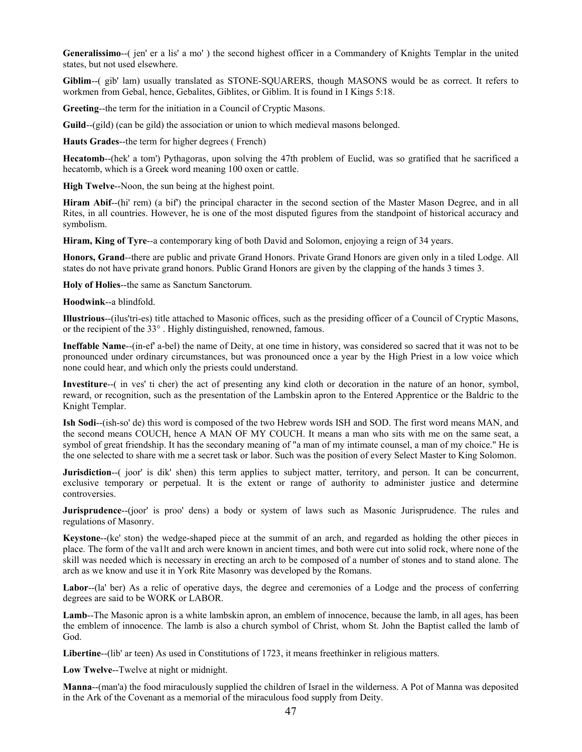**Generalissimo**--( jen' er a lis' a mo' ) the second highest officer in a Commandery of Knights Templar in the united states, but not used elsewhere.

**Giblim**--( gib' lam) usually translated as STONE-SQUARERS, though MASONS would be as correct. It refers to workmen from Gebal, hence, Gebalites, Giblites, or Giblim. It is found in I Kings 5:18.

**Greeting**--the term for the initiation in a Council of Cryptic Masons.

**Guild**--(gild) (can be gild) the association or union to which medieval masons belonged.

**Hauts Grades**--the term for higher degrees ( French)

Hecatomb--(hek' a tom') Pythagoras, upon solving the 47th problem of Euclid, was so gratified that he sacrificed a hecatomb, which is a Greek word meaning 100 oxen or cattle.

**High Twelve**--Noon, the sun being at the highest point.

**Hiram Abif**--(hi' rem) (a bif') the principal character in the second section of the Master Mason Degree, and in all Rites, in all countries. However, he is one of the most disputed figures from the standpoint of historical accuracy and symbolism.

**Hiram, King of Tyre**--a contemporary king of both David and Solomon, enjoying a reign of 34 years.

**Honors, Grand**--there are public and private Grand Honors. Private Grand Honors are given only in a tiled Lodge. All states do not have private grand honors. Public Grand Honors are given by the clapping of the hands 3 times 3.

**Holy of Holies**--the same as Sanctum Sanctorum.

**Hoodwink**--a blindfold.

**Illustrious**--(ilus'tri-es) title attached to Masonic offices, such as the presiding officer of a Council of Cryptic Masons, or the recipient of the 33° . Highly distinguished, renowned, famous.

**Ineffable Name**--(in-ef' a-bel) the name of Deity, at one time in history, was considered so sacred that it was not to be pronounced under ordinary circumstances, but was pronounced once a year by the High Priest in a low voice which none could hear, and which only the priests could understand.

**Investiture**--( in ves' ti cher) the act of presenting any kind cloth or decoration in the nature of an honor, symbol, reward, or recognition, such as the presentation of the Lambskin apron to the Entered Apprentice or the Baldric to the Knight Templar.

**Ish Sodi**--(ish-so' de) this word is composed of the two Hebrew words ISH and SOD. The first word means MAN, and the second means COUCH, hence A MAN OF MY COUCH. It means a man who sits with me on the same seat, a symbol of great friendship. It has the secondary meaning of "a man of my intimate counsel, a man of my choice." He is the one selected to share with me a secret task or labor. Such was the position of every Select Master to King Solomon.

**Jurisdiction**--( joor' is dik' shen) this term applies to subject matter, territory, and person. It can be concurrent, exclusive temporary or perpetual. It is the extent or range of authority to administer justice and determine controversies.

**Jurisprudence**--(joor' is proo' dens) a body or system of laws such as Masonic Jurisprudence. The rules and regulations of Masonry.

**Keystone**--(ke' ston) the wedge-shaped piece at the summit of an arch, and regarded as holding the other pieces in place. The form of the va1lt and arch were known in ancient times, and both were cut into solid rock, where none of the skill was needed which is necessary in erecting an arch to be composed of a number of stones and to stand alone. The arch as we know and use it in York Rite Masonry was developed by the Romans.

Labor--(la' ber) As a relic of operative days, the degree and ceremonies of a Lodge and the process of conferring degrees are said to be WORK or LABOR.

**Lamb**--The Masonic apron is a white lambskin apron, an emblem of innocence, because the lamb, in all ages, has been the emblem of innocence. The lamb is also a church symbol of Christ, whom St. John the Baptist called the lamb of God.

Libertine--(lib' ar teen) As used in Constitutions of 1723, it means freethinker in religious matters.

**Low Twelve**--Twelve at night or midnight.

**Manna**--(man'a) the food miraculously supplied the children of Israel in the wilderness. A Pot of Manna was deposited in the Ark of the Covenant as a memorial of the miraculous food supply from Deity.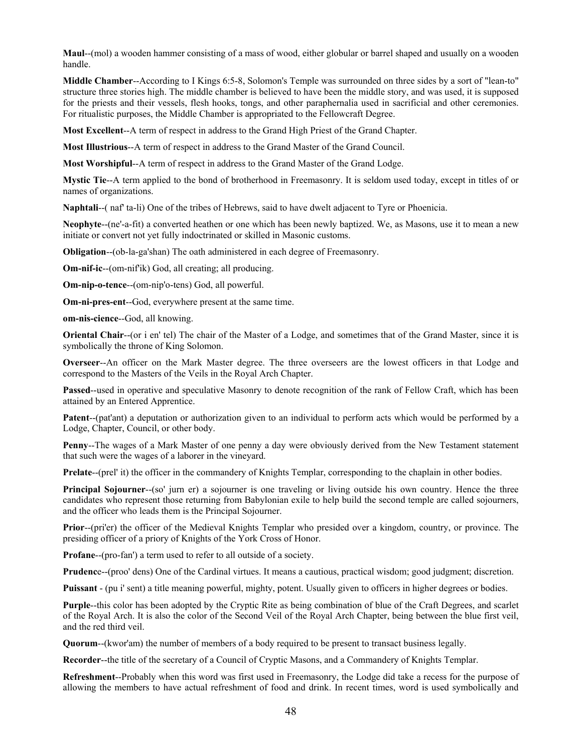**Maul**--(mol) a wooden hammer consisting of a mass of wood, either globular or barrel shaped and usually on a wooden handle.

**Middle Chamber**--According to I Kings 6:5-8, Solomon's Temple was surrounded on three sides by a sort of "lean-to" structure three stories high. The middle chamber is believed to have been the middle story, and was used, it is supposed for the priests and their vessels, flesh hooks, tongs, and other paraphernalia used in sacrificial and other ceremonies. For ritualistic purposes, the Middle Chamber is appropriated to the Fellowcraft Degree.

**Most Excellent**--A term of respect in address to the Grand High Priest of the Grand Chapter.

**Most Illustrious**--A term of respect in address to the Grand Master of the Grand Council.

**Most Worshipful**--A term of respect in address to the Grand Master of the Grand Lodge.

**Mystic Tie**--A term applied to the bond of brotherhood in Freemasonry. It is seldom used today, except in titles of or names of organizations.

**Naphtali**--( naf' ta-li) One of the tribes of Hebrews, said to have dwelt adjacent to Tyre or Phoenicia.

**Neophyte**--(ne'-a-fit) a converted heathen or one which has been newly baptized. We, as Masons, use it to mean a new initiate or convert not yet fully indoctrinated or skilled in Masonic customs.

**Obligation**--(ob-la-ga'shan) The oath administered in each degree of Freemasonry.

**Om-nif-ic**--(om-nif'ik) God, all creating; all producing.

**Om-nip-o-tence**--(om-nip'o-tens) God, all powerful.

**Om-ni-pres-ent**--God, everywhere present at the same time.

**om-nis-cience**--God, all knowing.

**Oriental Chair--**(or i en' tel) The chair of the Master of a Lodge, and sometimes that of the Grand Master, since it is symbolically the throne of King Solomon.

**Overseer**--An officer on the Mark Master degree. The three overseers are the lowest officers in that Lodge and correspond to the Masters of the Veils in the Royal Arch Chapter.

**Passed**--used in operative and speculative Masonry to denote recognition of the rank of Fellow Craft, which has been attained by an Entered Apprentice.

**Patent**--(pat'ant) a deputation or authorization given to an individual to perform acts which would be performed by a Lodge, Chapter, Council, or other body.

**Penny**--The wages of a Mark Master of one penny a day were obviously derived from the New Testament statement that such were the wages of a laborer in the vineyard.

**Prelate--(prel' it)** the officer in the commandery of Knights Templar, corresponding to the chaplain in other bodies.

**Principal Sojourner--(so' jurn er)** a sojourner is one traveling or living outside his own country. Hence the three candidates who represent those returning from Babylonian exile to help build the second temple are called sojourners, and the officer who leads them is the Principal Sojourner.

**Prior**--(pri'er) the officer of the Medieval Knights Templar who presided over a kingdom, country, or province. The presiding officer of a priory of Knights of the York Cross of Honor.

**Profane**--(pro-fan') a term used to refer to all outside of a society.

**Prudenc**e--(proo' dens) One of the Cardinal virtues. It means a cautious, practical wisdom; good judgment; discretion.

**Puissant** - (pu i' sent) a title meaning powerful, mighty, potent. Usually given to officers in higher degrees or bodies.

**Purple**--this color has been adopted by the Cryptic Rite as being combination of blue of the Craft Degrees, and scarlet of the Royal Arch. It is also the color of the Second Veil of the Royal Arch Chapter, being between the blue first veil, and the red third veil.

**Quorum**--(kwor'am) the number of members of a body required to be present to transact business legally.

**Recorder**--the title of the secretary of a Council of Cryptic Masons, and a Commandery of Knights Templar.

**Refreshment**--Probably when this word was first used in Freemasonry, the Lodge did take a recess for the purpose of allowing the members to have actual refreshment of food and drink. In recent times, word is used symbolically and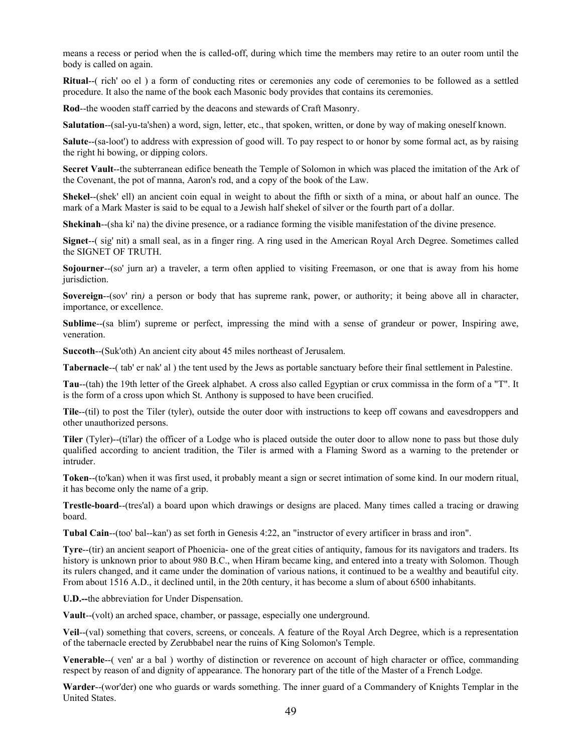means a recess or period when the is called-off, during which time the members may retire to an outer room until the body is called on again.

**Ritual**--( rich' oo el ) a form of conducting rites or ceremonies any code of ceremonies to be followed as a settled procedure. It also the name of the book each Masonic body provides that contains its ceremonies.

**Rod**--the wooden staff carried by the deacons and stewards of Craft Masonry.

**Salutation**--(sal-yu-ta'shen) a word, sign, letter, etc., that spoken, written, or done by way of making oneself known.

**Salute**--(sa-loot') to address with expression of good will. To pay respect to or honor by some formal act, as by raising the right hi bowing, or dipping colors.

**Secret Vault**--the subterranean edifice beneath the Temple of Solomon in which was placed the imitation of the Ark of the Covenant, the pot of manna, Aaron's rod, and a copy of the book of the Law.

**Shekel--(shek' ell)** an ancient coin equal in weight to about the fifth or sixth of a mina, or about half an ounce. The mark of a Mark Master is said to be equal to a Jewish half shekel of silver or the fourth part of a dollar.

**Shekinah**--(sha ki' na) the divine presence, or a radiance forming the visible manifestation of the divine presence.

**Signet**--( sig' nit) a small seal, as in a finger ring. A ring used in the American Royal Arch Degree. Sometimes called the SIGNET OF TRUTH.

**Sojourner**--(so' jurn ar) a traveler, a term often applied to visiting Freemason, or one that is away from his home jurisdiction.

**Sovereign**--(sov' rin) a person or body that has supreme rank, power, or authority; it being above all in character, importance, or excellence.

**Sublime**--(sa blim') supreme or perfect, impressing the mind with a sense of grandeur or power, Inspiring awe, veneration.

**Succoth**--(Suk'oth) An ancient city about 45 miles northeast of Jerusalem.

**Tabernacle**--( tab' er nak' al ) the tent used by the Jews as portable sanctuary before their final settlement in Palestine.

**Tau**--(tah) the 19th letter of the Greek alphabet. A cross also called Egyptian or crux commissa in the form of a "T". It is the form of a cross upon which St. Anthony is supposed to have been crucified.

**Tile**--(til) to post the Tiler (tyler), outside the outer door with instructions to keep off cowans and eavesdroppers and other unauthorized persons.

**Tiler** (Tyler)--(ti'lar) the officer of a Lodge who is placed outside the outer door to allow none to pass but those duly qualified according to ancient tradition, the Tiler is armed with a Flaming Sword as a warning to the pretender or intruder.

**Token**--(to'kan) when it was first used, it probably meant a sign or secret intimation of some kind. In our modern ritual, it has become only the name of a grip.

**Trestle-board**--(tres'al) a board upon which drawings or designs are placed. Many times called a tracing or drawing board.

**Tubal Cain**--(too' bal--kan') as set forth in Genesis 4:22, an "instructor of every artificer in brass and iron".

**Tyre**--(tir) an ancient seaport of Phoenicia- one of the great cities of antiquity, famous for its navigators and traders. Its history is unknown prior to about 980 B.C., when Hiram became king, and entered into a treaty with Solomon. Though its rulers changed, and it came under the domination of various nations, it continued to be a wealthy and beautiful city. From about 1516 A.D., it declined until, in the 20th century, it has become a slum of about 6500 inhabitants.

**U.D.--**the abbreviation for Under Dispensation.

**Vault**--(volt) an arched space, chamber, or passage, especially one underground.

**Veil**--(val) something that covers, screens, or conceals. A feature of the Royal Arch Degree, which is a representation of the tabernacle erected by Zerubbabel near the ruins of King Solomon's Temple.

**Venerable--**( ven' ar a bal ) worthy of distinction or reverence on account of high character or office, commanding respect by reason of and dignity of appearance. The honorary part of the title of the Master of a French Lodge.

**Warder**--(wor'der) one who guards or wards something. The inner guard of a Commandery of Knights Templar in the United States.